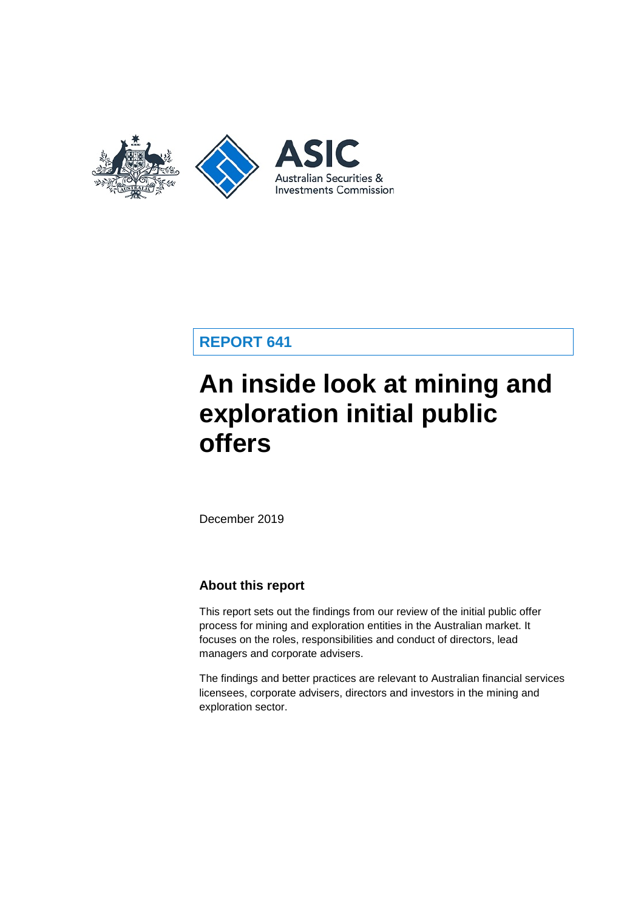

## **REPORT 641**

# **An inside look at mining and exploration initial public offers**

December 2019

### **About this report**

This report sets out the findings from our review of the initial public offer process for mining and exploration entities in the Australian market. It focuses on the roles, responsibilities and conduct of directors, lead managers and corporate advisers.

The findings and better practices are relevant to Australian financial services licensees, corporate advisers, directors and investors in the mining and exploration sector.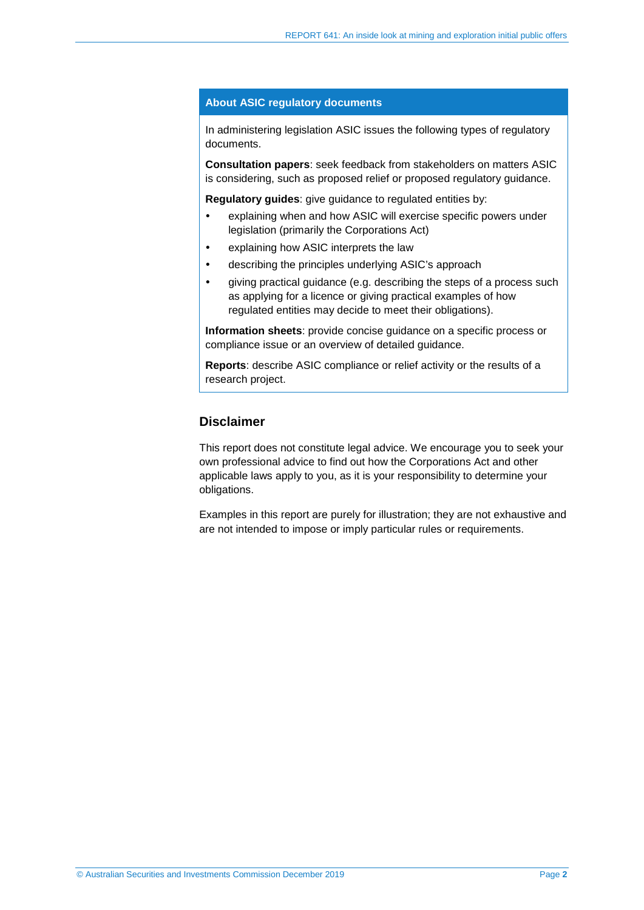#### **About ASIC regulatory documents**

In administering legislation ASIC issues the following types of regulatory documents.

**Consultation papers**: seek feedback from stakeholders on matters ASIC is considering, such as proposed relief or proposed regulatory guidance.

**Regulatory guides**: give guidance to regulated entities by:

- explaining when and how ASIC will exercise specific powers under legislation (primarily the Corporations Act)
- explaining how ASIC interprets the law
- describing the principles underlying ASIC's approach
- giving practical guidance (e.g. describing the steps of a process such as applying for a licence or giving practical examples of how regulated entities may decide to meet their obligations).

**Information sheets**: provide concise guidance on a specific process or compliance issue or an overview of detailed guidance.

**Reports**: describe ASIC compliance or relief activity or the results of a research project.

### **Disclaimer**

This report does not constitute legal advice. We encourage you to seek your own professional advice to find out how the Corporations Act and other applicable laws apply to you, as it is your responsibility to determine your obligations.

Examples in this report are purely for illustration; they are not exhaustive and are not intended to impose or imply particular rules or requirements.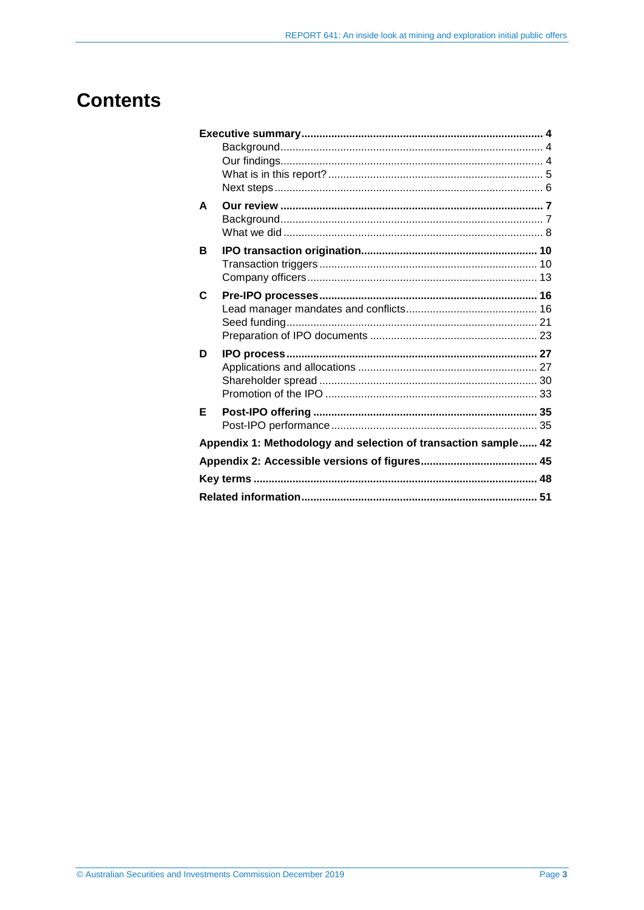## **Contents**

| A                                                              |  |  |  |  |  |
|----------------------------------------------------------------|--|--|--|--|--|
|                                                                |  |  |  |  |  |
|                                                                |  |  |  |  |  |
| в                                                              |  |  |  |  |  |
|                                                                |  |  |  |  |  |
|                                                                |  |  |  |  |  |
| C                                                              |  |  |  |  |  |
|                                                                |  |  |  |  |  |
|                                                                |  |  |  |  |  |
|                                                                |  |  |  |  |  |
| D                                                              |  |  |  |  |  |
|                                                                |  |  |  |  |  |
|                                                                |  |  |  |  |  |
|                                                                |  |  |  |  |  |
| Е                                                              |  |  |  |  |  |
|                                                                |  |  |  |  |  |
| Appendix 1: Methodology and selection of transaction sample 42 |  |  |  |  |  |
|                                                                |  |  |  |  |  |
|                                                                |  |  |  |  |  |
|                                                                |  |  |  |  |  |
|                                                                |  |  |  |  |  |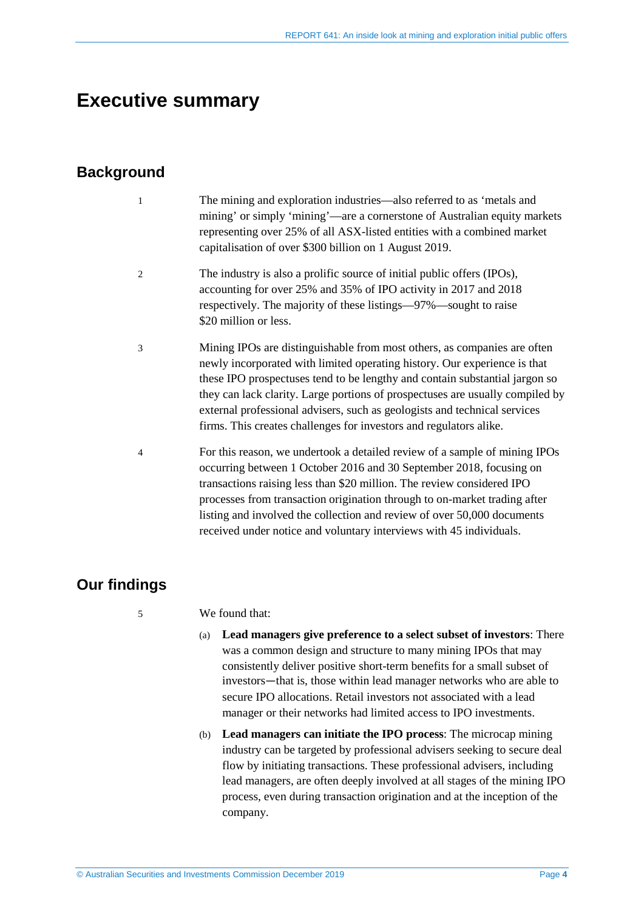## <span id="page-3-0"></span>**Executive summary**

## <span id="page-3-1"></span>**Background**

- 1 The mining and exploration industries—also referred to as 'metals and mining' or simply 'mining'—are a cornerstone of Australian equity markets representing over 25% of all ASX-listed entities with a combined market capitalisation of over \$300 billion on 1 August 2019.
- 2 The industry is also a prolific source of initial public offers (IPOs), accounting for over 25% and 35% of IPO activity in 2017 and 2018 respectively. The majority of these listings—97%—sought to raise \$20 million or less.
- 3 Mining IPOs are distinguishable from most others, as companies are often newly incorporated with limited operating history. Our experience is that these IPO prospectuses tend to be lengthy and contain substantial jargon so they can lack clarity. Large portions of prospectuses are usually compiled by external professional advisers, such as geologists and technical services firms. This creates challenges for investors and regulators alike.
- 4 For this reason, we undertook a detailed review of a sample of mining IPOs occurring between 1 October 2016 and 30 September 2018, focusing on transactions raising less than \$20 million. The review considered IPO processes from transaction origination through to on-market trading after listing and involved the collection and review of over 50,000 documents received under notice and voluntary interviews with 45 individuals.

## <span id="page-3-2"></span>**Our findings**

#### 5 We found that:

- (a) **Lead managers give preference to a select subset of investors**: There was a common design and structure to many mining IPOs that may consistently deliver positive short-term benefits for a small subset of investors—that is, those within lead manager networks who are able to secure IPO allocations. Retail investors not associated with a lead manager or their networks had limited access to IPO investments.
- (b) **Lead managers can initiate the IPO process**: The microcap mining industry can be targeted by professional advisers seeking to secure deal flow by initiating transactions. These professional advisers, including lead managers, are often deeply involved at all stages of the mining IPO process, even during transaction origination and at the inception of the company.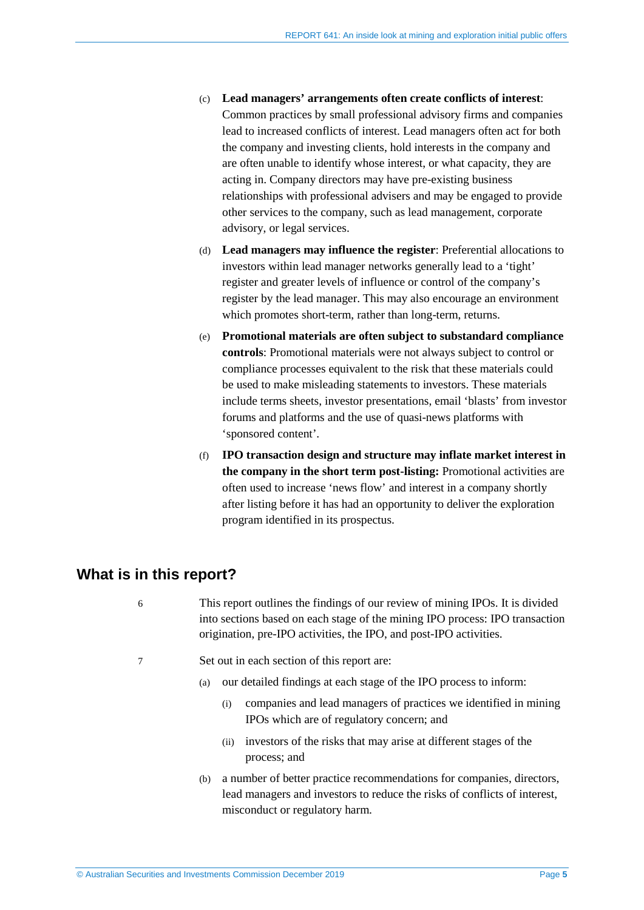- (c) **Lead managers' arrangements often create conflicts of interest**: Common practices by small professional advisory firms and companies lead to increased conflicts of interest. Lead managers often act for both the company and investing clients, hold interests in the company and are often unable to identify whose interest, or what capacity, they are acting in. Company directors may have pre-existing business relationships with professional advisers and may be engaged to provide other services to the company, such as lead management, corporate advisory, or legal services.
- (d) **Lead managers may influence the register**: Preferential allocations to investors within lead manager networks generally lead to a 'tight' register and greater levels of influence or control of the company's register by the lead manager. This may also encourage an environment which promotes short-term, rather than long-term, returns.
- (e) **Promotional materials are often subject to substandard compliance controls**: Promotional materials were not always subject to control or compliance processes equivalent to the risk that these materials could be used to make misleading statements to investors. These materials include terms sheets, investor presentations, email 'blasts' from investor forums and platforms and the use of quasi-news platforms with 'sponsored content'.
- (f) **IPO transaction design and structure may inflate market interest in the company in the short term post-listing:** Promotional activities are often used to increase 'news flow' and interest in a company shortly after listing before it has had an opportunity to deliver the exploration program identified in its prospectus.

## <span id="page-4-0"></span>**What is in this report?**

- 6 This report outlines the findings of our review of mining IPOs. It is divided into sections based on each stage of the mining IPO process: IPO transaction origination, pre-IPO activities, the IPO, and post-IPO activities.
- 7 Set out in each section of this report are:
	- (a) our detailed findings at each stage of the IPO process to inform:
		- (i) companies and lead managers of practices we identified in mining IPOs which are of regulatory concern; and
		- (ii) investors of the risks that may arise at different stages of the process; and
	- (b) a number of better practice recommendations for companies, directors, lead managers and investors to reduce the risks of conflicts of interest, misconduct or regulatory harm.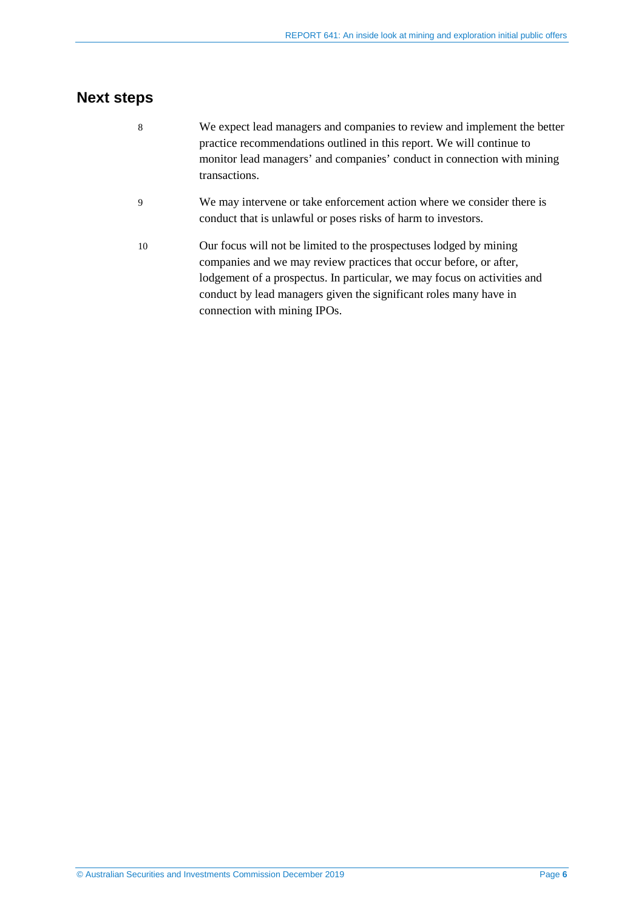## <span id="page-5-0"></span>**Next steps**

- 8 We expect lead managers and companies to review and implement the better practice recommendations outlined in this report. We will continue to monitor lead managers' and companies' conduct in connection with mining transactions.
- 9 We may intervene or take enforcement action where we consider there is conduct that is unlawful or poses risks of harm to investors.
- 10 Our focus will not be limited to the prospectuses lodged by mining companies and we may review practices that occur before, or after, lodgement of a prospectus. In particular, we may focus on activities and conduct by lead managers given the significant roles many have in connection with mining IPOs.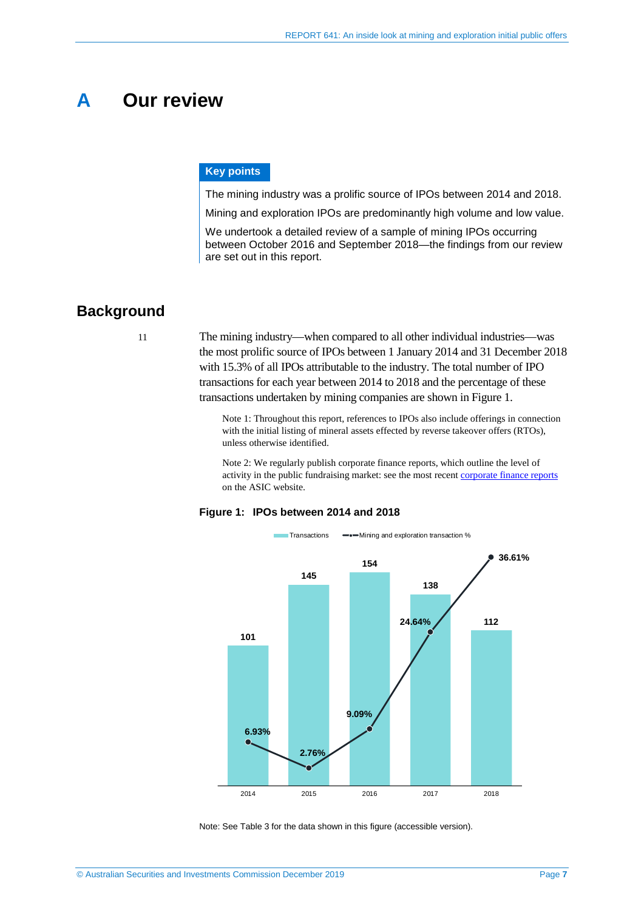## <span id="page-6-0"></span>**A Our review**

#### **Key points**

The mining industry was a prolific source of IPOs between 2014 and 2018.

Mining and exploration IPOs are predominantly high volume and low value.

We undertook a detailed review of a sample of mining IPOs occurring between October 2016 and September 2018—the findings from our review are set out in this report.

## <span id="page-6-1"></span>**Background**

11 The mining industry—when compared to all other individual industries—was the most prolific source of IPOs between 1 January 2014 and 31 December 2018 with 15.3% of all IPOs attributable to the industry. The total number of IPO transactions for each year between 2014 to 2018 and the percentage of these transactions undertaken by mining companies are shown in [Figure 1.](#page-6-2)

> Note 1: Throughout this report, references to IPOs also include offerings in connection with the initial listing of mineral assets effected by reverse takeover offers (RTOs), unless otherwise identified.

Note 2: We regularly publish corporate finance reports, which outline the level of activity in the public fundraising market: see the most recent [corporate finance reports](https://asic.gov.au/about-asic/what-we-do/how-we-operate/stakeholder-liaison/corporate-finance-liaison-meetings/) on the ASIC website.

#### <span id="page-6-2"></span>**Figure 1: IPOs between 2014 and 2018**



Note: See [Table 3](#page-44-1) for the data shown in this figure (accessible version).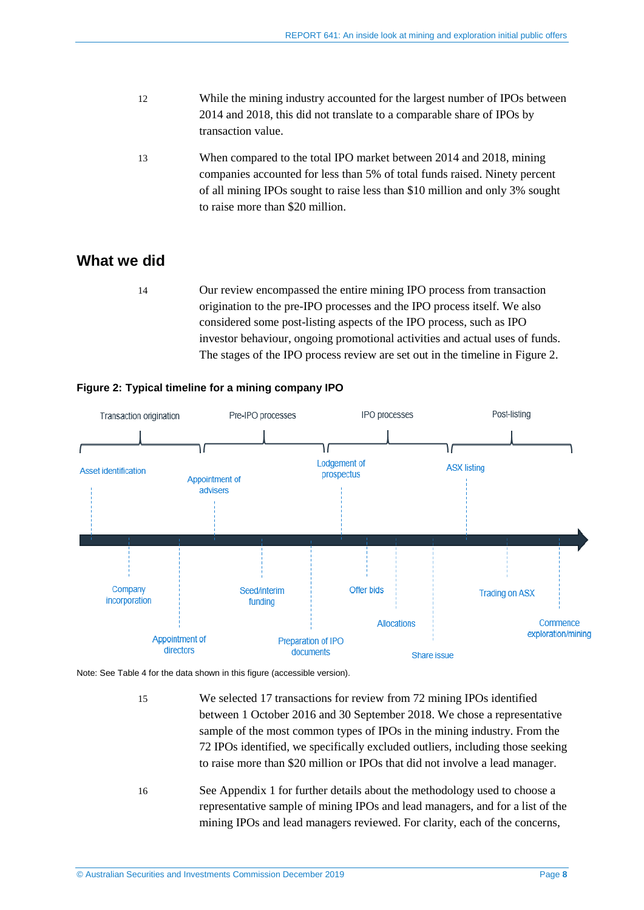- 12 While the mining industry accounted for the largest number of IPOs between 2014 and 2018, this did not translate to a comparable share of IPOs by transaction value.
- 13 When compared to the total IPO market between 2014 and 2018, mining companies accounted for less than 5% of total funds raised. Ninety percent of all mining IPOs sought to raise less than \$10 million and only 3% sought to raise more than \$20 million.

### <span id="page-7-0"></span>**What we did**

14 Our review encompassed the entire mining IPO process from transaction origination to the pre-IPO processes and the IPO process itself. We also considered some post-listing aspects of the IPO process, such as IPO investor behaviour, ongoing promotional activities and actual uses of funds. The stages of the IPO process review are set out in the timeline in [Figure 2.](#page-7-1)



#### <span id="page-7-1"></span>**Figure 2: Typical timeline for a mining company IPO**

Note: Se[e Table 4](#page-44-2) for the data shown in this figure (accessible version).

- 15 We selected 17 transactions for review from 72 mining IPOs identified between 1 October 2016 and 30 September 2018. We chose a representative sample of the most common types of IPOs in the mining industry. From the 72 IPOs identified, we specifically excluded outliers, including those seeking to raise more than \$20 million or IPOs that did not involve a lead manager.
- 16 See Appendix 1 for further details about the methodology used to choose a representative sample of mining IPOs and lead managers, and for a list of the mining IPOs and lead managers reviewed. For clarity, each of the concerns,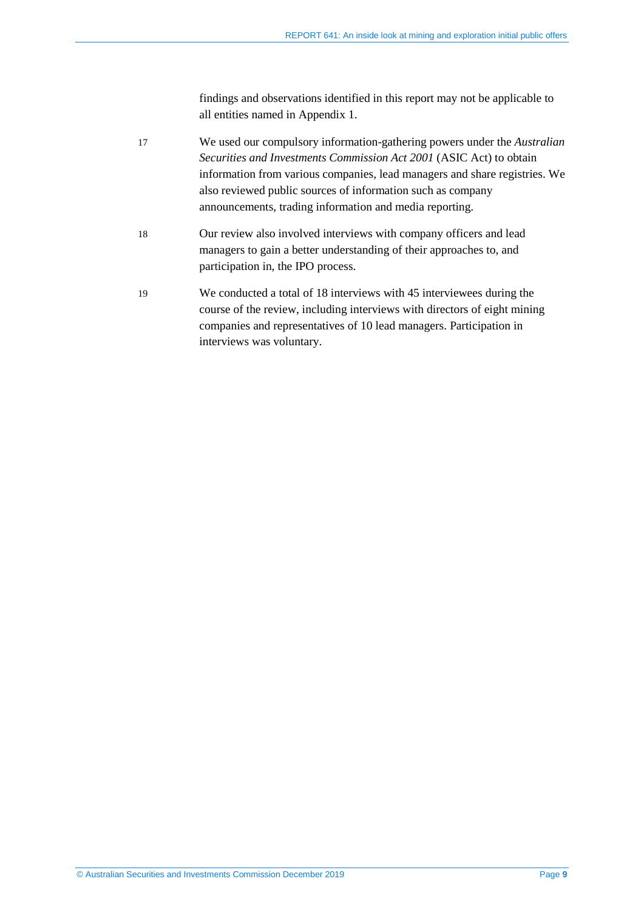findings and observations identified in this report may not be applicable to all entities named in Appendix 1.

- <span id="page-8-0"></span>17 We used our compulsory information-gathering powers under the *Australian Securities and Investments Commission Act 2001* (ASIC Act) to obtain information from various companies, lead managers and share registries. We also reviewed public sources of information such as company announcements, trading information and media reporting.
- 18 Our review also involved interviews with company officers and lead managers to gain a better understanding of their approaches to, and participation in, the IPO process.
- <span id="page-8-1"></span>19 We conducted a total of 18 interviews with 45 interviewees during the course of the review, including interviews with directors of eight mining companies and representatives of 10 lead managers. Participation in interviews was voluntary.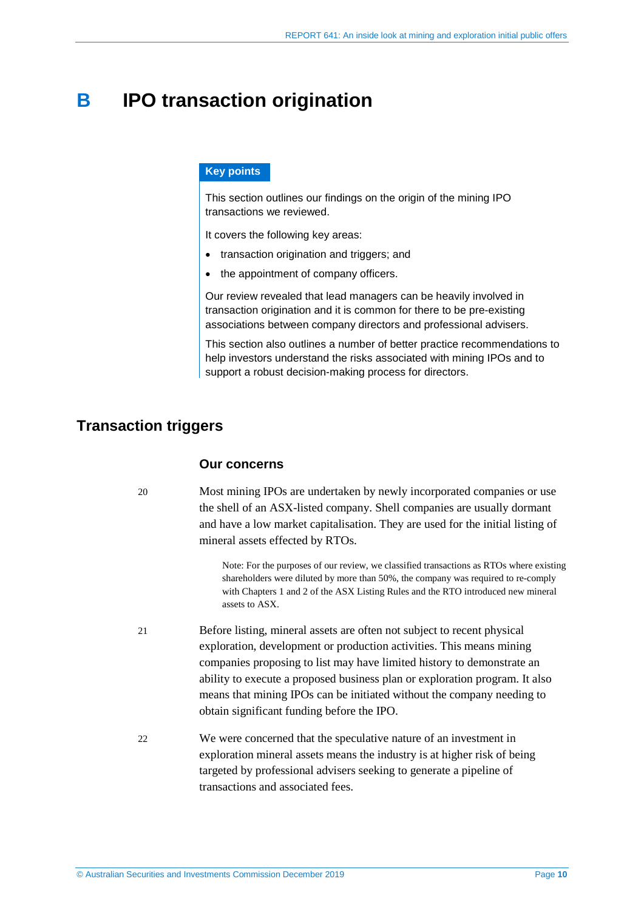## <span id="page-9-0"></span>**B IPO transaction origination**

#### **Key points**

This section outlines our findings on the origin of the mining IPO transactions we reviewed.

It covers the following key areas:

- transaction origination and triggers; and
- the appointment of company officers.

Our review revealed that lead managers can be heavily involved in transaction origination and it is common for there to be pre-existing associations between company directors and professional advisers.

This section also outlines a number of better practice recommendations to help investors understand the risks associated with mining IPOs and to support a robust decision-making process for directors.

## <span id="page-9-1"></span>**Transaction triggers**

#### **Our concerns**

20 Most mining IPOs are undertaken by newly incorporated companies or use the shell of an ASX-listed company. Shell companies are usually dormant and have a low market capitalisation. They are used for the initial listing of mineral assets effected by RTOs.

> Note: For the purposes of our review, we classified transactions as RTOs where existing shareholders were diluted by more than 50%, the company was required to re-comply with Chapters 1 and 2 of the ASX Listing Rules and the RTO introduced new mineral assets to ASX.

- 21 Before listing, mineral assets are often not subject to recent physical exploration, development or production activities. This means mining companies proposing to list may have limited history to demonstrate an ability to execute a proposed business plan or exploration program. It also means that mining IPOs can be initiated without the company needing to obtain significant funding before the IPO.
- 22 We were concerned that the speculative nature of an investment in exploration mineral assets means the industry is at higher risk of being targeted by professional advisers seeking to generate a pipeline of transactions and associated fees.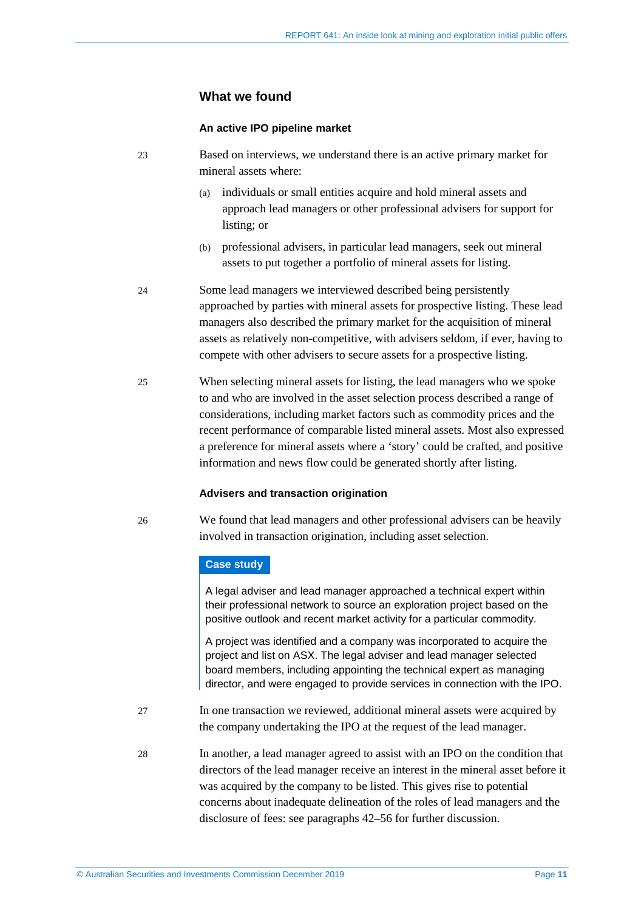#### **What we found**

#### **An active IPO pipeline market**

23 Based on interviews, we understand there is an active primary market for mineral assets where:

- (a) individuals or small entities acquire and hold mineral assets and approach lead managers or other professional advisers for support for listing; or
- (b) professional advisers, in particular lead managers, seek out mineral assets to put together a portfolio of mineral assets for listing.
- 24 Some lead managers we interviewed described being persistently approached by parties with mineral assets for prospective listing. These lead managers also described the primary market for the acquisition of mineral assets as relatively non-competitive, with advisers seldom, if ever, having to compete with other advisers to secure assets for a prospective listing.
- 25 When selecting mineral assets for listing, the lead managers who we spoke to and who are involved in the asset selection process described a range of considerations, including market factors such as commodity prices and the recent performance of comparable listed mineral assets. Most also expressed a preference for mineral assets where a 'story' could be crafted, and positive information and news flow could be generated shortly after listing.

#### **Advisers and transaction origination**

26 We found that lead managers and other professional advisers can be heavily involved in transaction origination, including asset selection.

#### **Case study**

A legal adviser and lead manager approached a technical expert within their professional network to source an exploration project based on the positive outlook and recent market activity for a particular commodity.

A project was identified and a company was incorporated to acquire the project and list on ASX. The legal adviser and lead manager selected board members, including appointing the technical expert as managing director, and were engaged to provide services in connection with the IPO.

- 27 In one transaction we reviewed, additional mineral assets were acquired by the company undertaking the IPO at the request of the lead manager.
- 28 In another, a lead manager agreed to assist with an IPO on the condition that directors of the lead manager receive an interest in the mineral asset before it was acquired by the company to be listed. This gives rise to potential concerns about inadequate delineation of the roles of lead managers and the disclosure of fees: see paragraphs [42](#page-16-0)[–56](#page-19-0) for further discussion.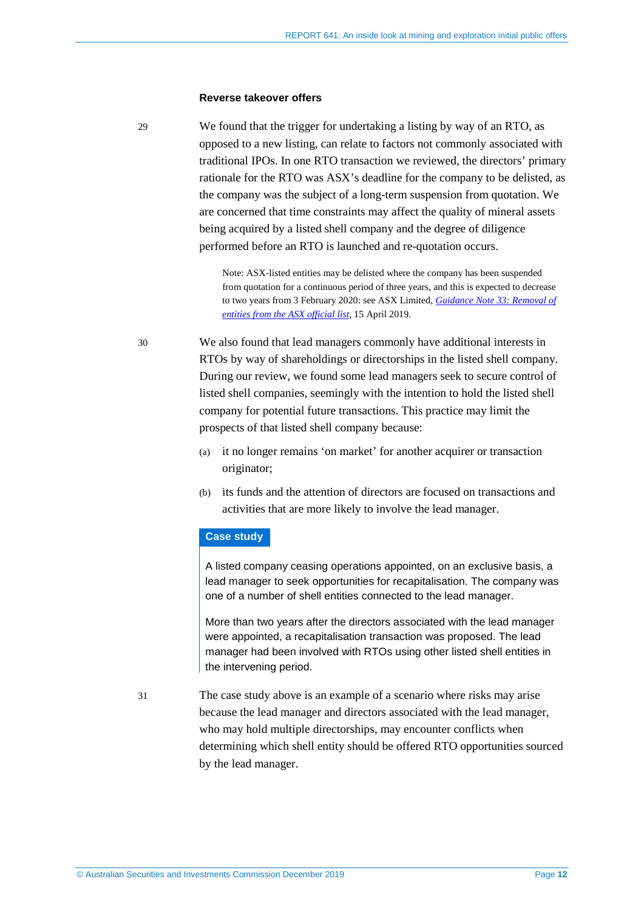#### **Reverse takeover offers**

29 We found that the trigger for undertaking a listing by way of an RTO, as opposed to a new listing, can relate to factors not commonly associated with traditional IPOs. In one RTO transaction we reviewed, the directors' primary rationale for the RTO was ASX's deadline for the company to be delisted, as the company was the subject of a long-term suspension from quotation. We are concerned that time constraints may affect the quality of mineral assets being acquired by a listed shell company and the degree of diligence performed before an RTO is launched and re-quotation occurs.

> Note: ASX-listed entities may be delisted where the company has been suspended from quotation for a continuous period of three years, and this is expected to decrease to two years from 3 February 2020: see ASX Limited, *[Guidance Note 33: Removal of](https://www.asx.com.au/regulation/rules/asx-listing-rules.htm)  [entities from the ASX official list](https://www.asx.com.au/regulation/rules/asx-listing-rules.htm)*, 15 April 2019.

30 We also found that lead managers commonly have additional interests in RTOs by way of shareholdings or directorships in the listed shell company. During our review, we found some lead managers seek to secure control of listed shell companies, seemingly with the intention to hold the listed shell company for potential future transactions. This practice may limit the prospects of that listed shell company because:

- (a) it no longer remains 'on market' for another acquirer or transaction originator;
- (b) its funds and the attention of directors are focused on transactions and activities that are more likely to involve the lead manager.

#### **Case study**

A listed company ceasing operations appointed, on an exclusive basis, a lead manager to seek opportunities for recapitalisation. The company was one of a number of shell entities connected to the lead manager.

More than two years after the directors associated with the lead manager were appointed, a recapitalisation transaction was proposed. The lead manager had been involved with RTOs using other listed shell entities in the intervening period.

31 The case study above is an example of a scenario where risks may arise because the lead manager and directors associated with the lead manager, who may hold multiple directorships, may encounter conflicts when determining which shell entity should be offered RTO opportunities sourced by the lead manager.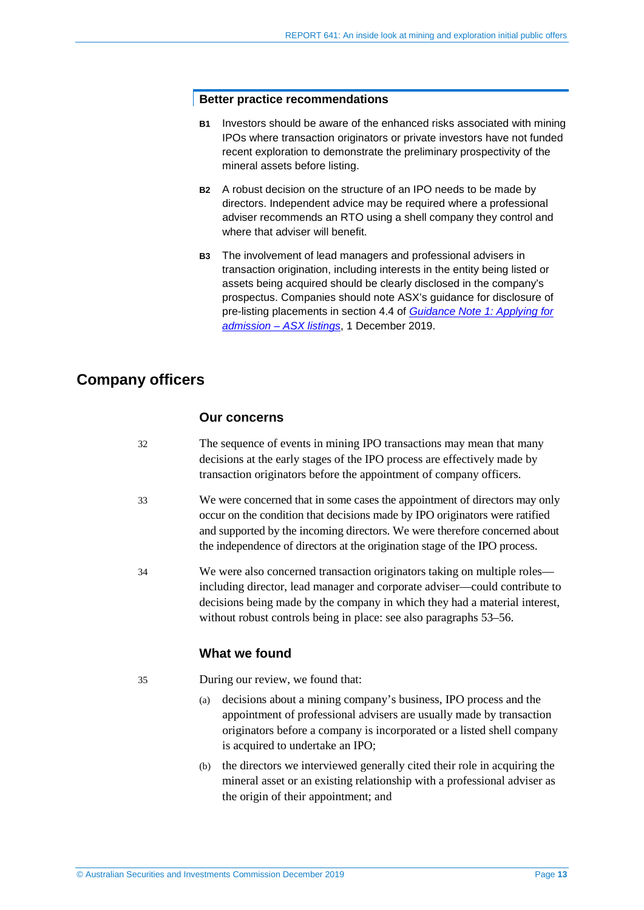#### **Better practice recommendations**

- **B1** Investors should be aware of the enhanced risks associated with mining IPOs where transaction originators or private investors have not funded recent exploration to demonstrate the preliminary prospectivity of the mineral assets before listing.
- **B2** A robust decision on the structure of an IPO needs to be made by directors. Independent advice may be required where a professional adviser recommends an RTO using a shell company they control and where that adviser will benefit.
- **B3** The involvement of lead managers and professional advisers in transaction origination, including interests in the entity being listed or assets being acquired should be clearly disclosed in the company's prospectus. Companies should note ASX's guidance for disclosure of pre-listing placements in section 4.4 of *[Guidance Note 1: Applying for](https://www.asx.com.au/regulation/rules/asx-listing-rules.htm) [admission – ASX listings](https://www.asx.com.au/regulation/rules/asx-listing-rules.htm)*, 1 December 2019.

### <span id="page-12-0"></span>**Company officers**

#### **Our concerns**

| 32 | The sequence of events in mining IPO transactions may mean that many     |
|----|--------------------------------------------------------------------------|
|    | decisions at the early stages of the IPO process are effectively made by |
|    | transaction originators before the appointment of company officers.      |

- 33 We were concerned that in some cases the appointment of directors may only occur on the condition that decisions made by IPO originators were ratified and supported by the incoming directors. We were therefore concerned about the independence of directors at the origination stage of the IPO process.
- 34 We were also concerned transaction originators taking on multiple roles including director, lead manager and corporate adviser—could contribute to decisions being made by the company in which they had a material interest, without robust controls being in place: see also paragraphs [53](#page-18-0)[–56.](#page-19-0)

#### **What we found**

```
35 During our review, we found that:
```
- (a) decisions about a mining company's business, IPO process and the appointment of professional advisers are usually made by transaction originators before a company is incorporated or a listed shell company is acquired to undertake an IPO;
- (b) the directors we interviewed generally cited their role in acquiring the mineral asset or an existing relationship with a professional adviser as the origin of their appointment; and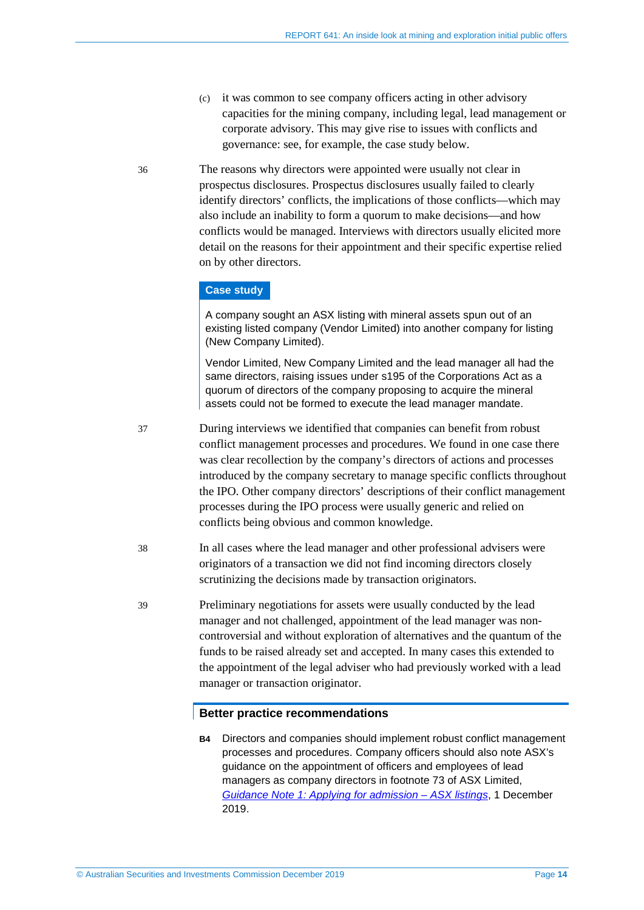(c) it was common to see company officers acting in other advisory capacities for the mining company, including legal, lead management or corporate advisory. This may give rise to issues with conflicts and governance: see, for example, the case study below.

36 The reasons why directors were appointed were usually not clear in prospectus disclosures. Prospectus disclosures usually failed to clearly identify directors' conflicts, the implications of those conflicts—which may also include an inability to form a quorum to make decisions—and how conflicts would be managed. Interviews with directors usually elicited more detail on the reasons for their appointment and their specific expertise relied on by other directors.

#### **Case study**

A company sought an ASX listing with mineral assets spun out of an existing listed company (Vendor Limited) into another company for listing (New Company Limited).

Vendor Limited, New Company Limited and the lead manager all had the same directors, raising issues under s195 of the Corporations Act as a quorum of directors of the company proposing to acquire the mineral assets could not be formed to execute the lead manager mandate.

37 During interviews we identified that companies can benefit from robust conflict management processes and procedures. We found in one case there was clear recollection by the company's directors of actions and processes introduced by the company secretary to manage specific conflicts throughout the IPO. Other company directors' descriptions of their conflict management processes during the IPO process were usually generic and relied on conflicts being obvious and common knowledge.

- 38 In all cases where the lead manager and other professional advisers were originators of a transaction we did not find incoming directors closely scrutinizing the decisions made by transaction originators.
- 39 Preliminary negotiations for assets were usually conducted by the lead manager and not challenged, appointment of the lead manager was noncontroversial and without exploration of alternatives and the quantum of the funds to be raised already set and accepted. In many cases this extended to the appointment of the legal adviser who had previously worked with a lead manager or transaction originator.

#### **Better practice recommendations**

**B4** Directors and companies should implement robust conflict management processes and procedures. Company officers should also note ASX's guidance on the appointment of officers and employees of lead managers as company directors in footnote 73 of ASX Limited, *[Guidance Note 1: Applying for admission – ASX listings](https://www.asx.com.au/regulation/rules/asx-listing-rules.htm)*, 1 December 2019.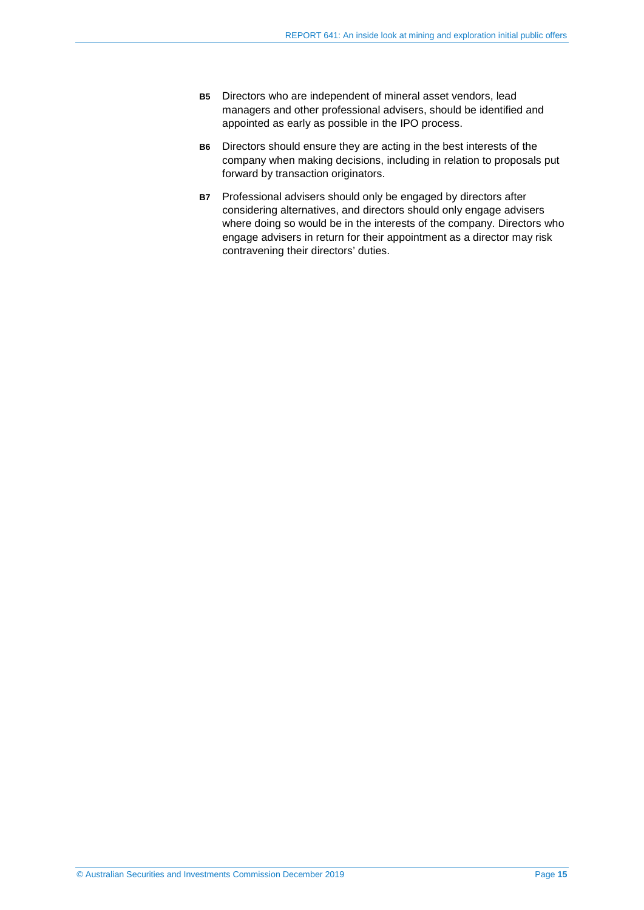- **B5** Directors who are independent of mineral asset vendors, lead managers and other professional advisers, should be identified and appointed as early as possible in the IPO process.
- **B6** Directors should ensure they are acting in the best interests of the company when making decisions, including in relation to proposals put forward by transaction originators.
- **B7** Professional advisers should only be engaged by directors after considering alternatives, and directors should only engage advisers where doing so would be in the interests of the company. Directors who engage advisers in return for their appointment as a director may risk contravening their directors' duties.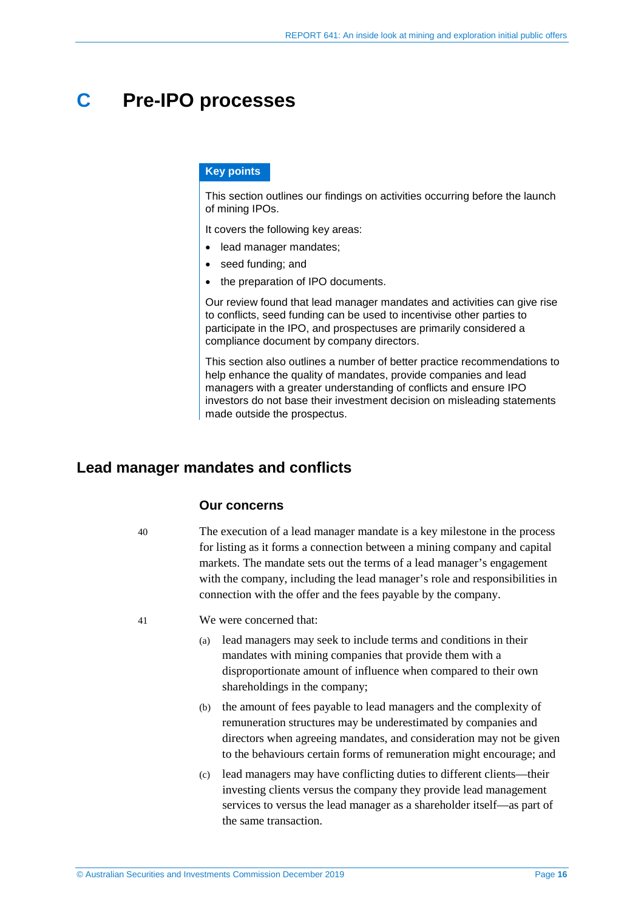## <span id="page-15-0"></span>**C Pre-IPO processes**

#### **Key points**

This section outlines our findings on activities occurring before the launch of mining IPOs.

It covers the following key areas:

- lead manager mandates;
- seed funding; and
- the preparation of IPO documents.

Our review found that lead manager mandates and activities can give rise to conflicts, seed funding can be used to incentivise other parties to participate in the IPO, and prospectuses are primarily considered a compliance document by company directors.

This section also outlines a number of better practice recommendations to help enhance the quality of mandates, provide companies and lead managers with a greater understanding of conflicts and ensure IPO investors do not base their investment decision on misleading statements made outside the prospectus.

### <span id="page-15-1"></span>**Lead manager mandates and conflicts**

#### **Our concerns**

40 The execution of a lead manager mandate is a key milestone in the process for listing as it forms a connection between a mining company and capital markets. The mandate sets out the terms of a lead manager's engagement with the company, including the lead manager's role and responsibilities in connection with the offer and the fees payable by the company.

- 41 We were concerned that:
	- (a) lead managers may seek to include terms and conditions in their mandates with mining companies that provide them with a disproportionate amount of influence when compared to their own shareholdings in the company;
	- (b) the amount of fees payable to lead managers and the complexity of remuneration structures may be underestimated by companies and directors when agreeing mandates, and consideration may not be given to the behaviours certain forms of remuneration might encourage; and
	- (c) lead managers may have conflicting duties to different clients—their investing clients versus the company they provide lead management services to versus the lead manager as a shareholder itself—as part of the same transaction.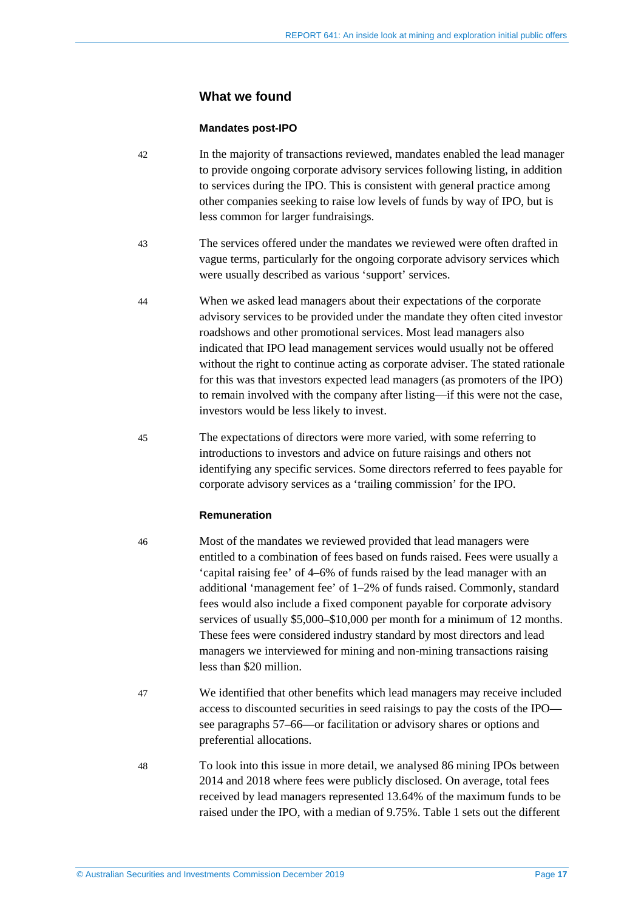### **What we found**

#### **Mandates post-IPO**

- <span id="page-16-0"></span>42 In the majority of transactions reviewed, mandates enabled the lead manager to provide ongoing corporate advisory services following listing, in addition to services during the IPO. This is consistent with general practice among other companies seeking to raise low levels of funds by way of IPO, but is less common for larger fundraisings.
- 43 The services offered under the mandates we reviewed were often drafted in vague terms, particularly for the ongoing corporate advisory services which were usually described as various 'support' services.
- 44 When we asked lead managers about their expectations of the corporate advisory services to be provided under the mandate they often cited investor roadshows and other promotional services. Most lead managers also indicated that IPO lead management services would usually not be offered without the right to continue acting as corporate adviser. The stated rationale for this was that investors expected lead managers (as promoters of the IPO) to remain involved with the company after listing—if this were not the case, investors would be less likely to invest.
- 45 The expectations of directors were more varied, with some referring to introductions to investors and advice on future raisings and others not identifying any specific services. Some directors referred to fees payable for corporate advisory services as a 'trailing commission' for the IPO.

#### **Remuneration**

46 Most of the mandates we reviewed provided that lead managers were entitled to a combination of fees based on funds raised. Fees were usually a 'capital raising fee' of 4–6% of funds raised by the lead manager with an additional 'management fee' of 1–2% of funds raised. Commonly, standard fees would also include a fixed component payable for corporate advisory services of usually \$5,000–\$10,000 per month for a minimum of 12 months. These fees were considered industry standard by most directors and lead managers we interviewed for mining and non-mining transactions raising less than \$20 million.

- 47 We identified that other benefits which lead managers may receive included access to discounted securities in seed raisings to pay the costs of the IPO see paragraphs [57](#page-20-1)[–66—](#page-22-1)or facilitation or advisory shares or options and preferential allocations.
- 48 To look into this issue in more detail, we analysed 86 mining IPOs between 2014 and 2018 where fees were publicly disclosed. On average, total fees received by lead managers represented 13.64% of the maximum funds to be raised under the IPO, with a median of 9.75%. [Table 1](#page-17-0) sets out the different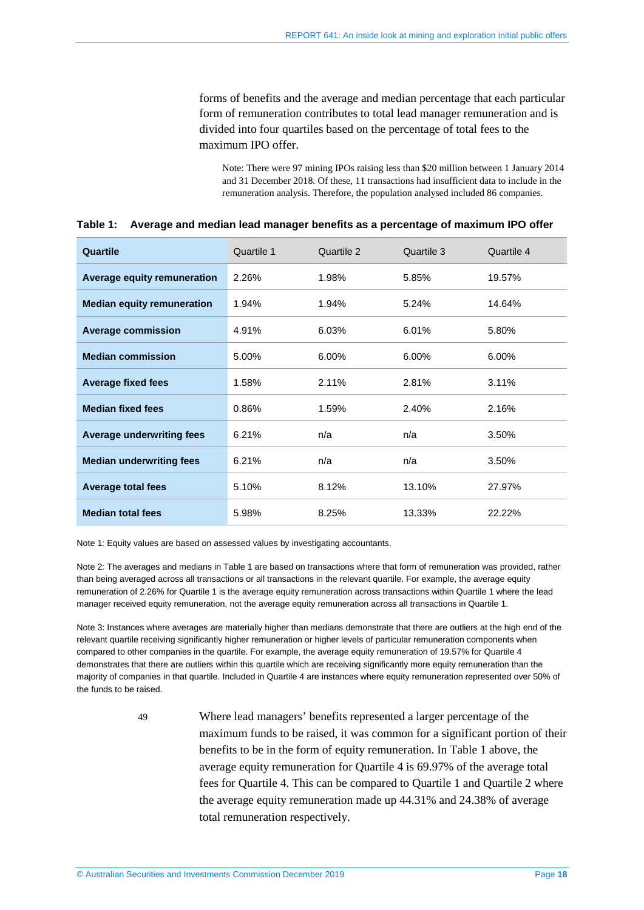forms of benefits and the average and median percentage that each particular form of remuneration contributes to total lead manager remuneration and is divided into four quartiles based on the percentage of total fees to the maximum IPO offer.

Note: There were 97 mining IPOs raising less than \$20 million between 1 January 2014 and 31 December 2018. Of these, 11 transactions had insufficient data to include in the remuneration analysis. Therefore, the population analysed included 86 companies.

| Quartile                          | Quartile 1 | Quartile 2 | Quartile 3 | Quartile 4 |
|-----------------------------------|------------|------------|------------|------------|
| Average equity remuneration       | 2.26%      | 1.98%      | 5.85%      | 19.57%     |
| <b>Median equity remuneration</b> | 1.94%      | 1.94%      | 5.24%      | 14.64%     |
| <b>Average commission</b>         | 4.91%      | 6.03%      | 6.01%      | 5.80%      |
| <b>Median commission</b>          | 5.00%      | 6.00%      | 6.00%      | 6.00%      |
| <b>Average fixed fees</b>         | 1.58%      | 2.11%      | 2.81%      | 3.11%      |
| <b>Median fixed fees</b>          | 0.86%      | 1.59%      | 2.40%      | 2.16%      |
| <b>Average underwriting fees</b>  | 6.21%      | n/a        | n/a        | 3.50%      |
| <b>Median underwriting fees</b>   | 6.21%      | n/a        | n/a        | 3.50%      |
| <b>Average total fees</b>         | 5.10%      | 8.12%      | 13.10%     | 27.97%     |
| <b>Median total fees</b>          | 5.98%      | 8.25%      | 13.33%     | 22.22%     |

<span id="page-17-0"></span>

|  | Table 1: Average and median lead manager benefits as a percentage of maximum IPO offer |  |  |  |
|--|----------------------------------------------------------------------------------------|--|--|--|
|--|----------------------------------------------------------------------------------------|--|--|--|

Note 1: Equity values are based on assessed values by investigating accountants.

Note 2: The averages and medians in [Table 1](#page-17-0) are based on transactions where that form of remuneration was provided, rather than being averaged across all transactions or all transactions in the relevant quartile. For example, the average equity remuneration of 2.26% for Quartile 1 is the average equity remuneration across transactions within Quartile 1 where the lead manager received equity remuneration, not the average equity remuneration across all transactions in Quartile 1.

Note 3: Instances where averages are materially higher than medians demonstrate that there are outliers at the high end of the relevant quartile receiving significantly higher remuneration or higher levels of particular remuneration components when compared to other companies in the quartile. For example, the average equity remuneration of 19.57% for Quartile 4 demonstrates that there are outliers within this quartile which are receiving significantly more equity remuneration than the majority of companies in that quartile. Included in Quartile 4 are instances where equity remuneration represented over 50% of the funds to be raised.

> 49 Where lead managers' benefits represented a larger percentage of the maximum funds to be raised, it was common for a significant portion of their benefits to be in the form of equity remuneration. In [Table 1](#page-17-0) above, the average equity remuneration for Quartile 4 is 69.97% of the average total fees for Quartile 4. This can be compared to Quartile 1 and Quartile 2 where the average equity remuneration made up 44.31% and 24.38% of average total remuneration respectively.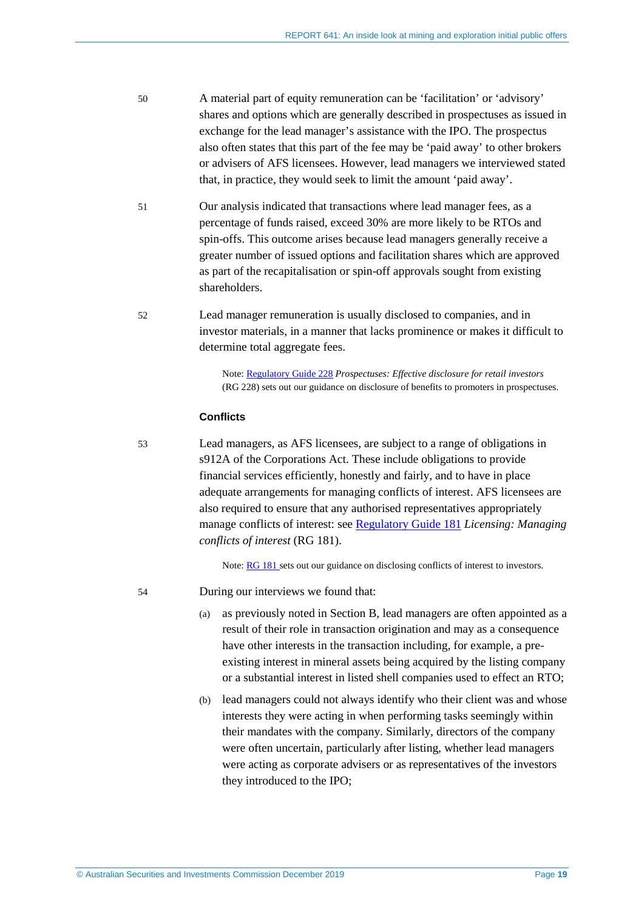- 50 A material part of equity remuneration can be 'facilitation' or 'advisory' shares and options which are generally described in prospectuses as issued in exchange for the lead manager's assistance with the IPO. The prospectus also often states that this part of the fee may be 'paid away' to other brokers or advisers of AFS licensees. However, lead managers we interviewed stated that, in practice, they would seek to limit the amount 'paid away'.
- 51 Our analysis indicated that transactions where lead manager fees, as a percentage of funds raised, exceed 30% are more likely to be RTOs and spin-offs. This outcome arises because lead managers generally receive a greater number of issued options and facilitation shares which are approved as part of the recapitalisation or spin-off approvals sought from existing shareholders.
- 52 Lead manager remuneration is usually disclosed to companies, and in investor materials, in a manner that lacks prominence or makes it difficult to determine total aggregate fees.

Note: [Regulatory Guide 228](https://asic.gov.au/regulatory-resources/find-a-document/regulatory-guides/rg-228-prospectuses-effective-disclosure-for-retail-investors/) *Prospectuses: Effective disclosure for retail investors* (RG 228) sets out our guidance on disclosure of benefits to promoters in prospectuses.

#### **Conflicts**

<span id="page-18-0"></span>53 Lead managers, as AFS licensees, are subject to a range of obligations in s912A of the Corporations Act. These include obligations to provide financial services efficiently, honestly and fairly, and to have in place adequate arrangements for managing conflicts of interest. AFS licensees are also required to ensure that any authorised representatives appropriately manage conflicts of interest: see [Regulatory Guide 181](https://asic.gov.au/regulatory-resources/find-a-document/regulatory-guides/rg-181-licensing-managing-conflicts-of-interest/) *Licensing: Managing conflicts of interest* (RG 181).

Note: [RG 181](https://asic.gov.au/regulatory-resources/find-a-document/regulatory-guides/rg-181-licensing-managing-conflicts-of-interest/) sets out our guidance on disclosing conflicts of interest to investors.

- 54 During our interviews we found that:
	- (a) as previously noted in Section [B,](#page-9-0) lead managers are often appointed as a result of their role in transaction origination and may as a consequence have other interests in the transaction including, for example, a preexisting interest in mineral assets being acquired by the listing company or a substantial interest in listed shell companies used to effect an RTO;
	- (b) lead managers could not always identify who their client was and whose interests they were acting in when performing tasks seemingly within their mandates with the company. Similarly, directors of the company were often uncertain, particularly after listing, whether lead managers were acting as corporate advisers or as representatives of the investors they introduced to the IPO;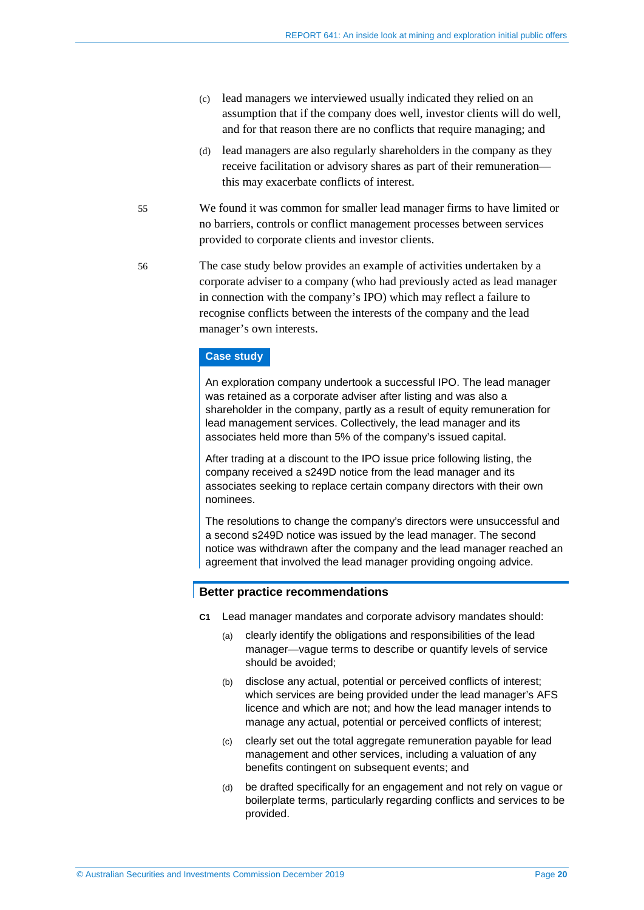- (c) lead managers we interviewed usually indicated they relied on an assumption that if the company does well, investor clients will do well, and for that reason there are no conflicts that require managing; and
- (d) lead managers are also regularly shareholders in the company as they receive facilitation or advisory shares as part of their remuneration this may exacerbate conflicts of interest.
- 55 We found it was common for smaller lead manager firms to have limited or no barriers, controls or conflict management processes between services provided to corporate clients and investor clients.
- <span id="page-19-0"></span>56 The case study below provides an example of activities undertaken by a corporate adviser to a company (who had previously acted as lead manager in connection with the company's IPO) which may reflect a failure to recognise conflicts between the interests of the company and the lead manager's own interests.

#### **Case study**

An exploration company undertook a successful IPO. The lead manager was retained as a corporate adviser after listing and was also a shareholder in the company, partly as a result of equity remuneration for lead management services. Collectively, the lead manager and its associates held more than 5% of the company's issued capital.

After trading at a discount to the IPO issue price following listing, the company received a s249D notice from the lead manager and its associates seeking to replace certain company directors with their own nominees.

The resolutions to change the company's directors were unsuccessful and a second s249D notice was issued by the lead manager. The second notice was withdrawn after the company and the lead manager reached an agreement that involved the lead manager providing ongoing advice.

#### **Better practice recommendations**

- **C1** Lead manager mandates and corporate advisory mandates should:
	- (a) clearly identify the obligations and responsibilities of the lead manager—vague terms to describe or quantify levels of service should be avoided;
	- (b) disclose any actual, potential or perceived conflicts of interest; which services are being provided under the lead manager's AFS licence and which are not; and how the lead manager intends to manage any actual, potential or perceived conflicts of interest;
	- (c) clearly set out the total aggregate remuneration payable for lead management and other services, including a valuation of any benefits contingent on subsequent events; and
	- (d) be drafted specifically for an engagement and not rely on vague or boilerplate terms, particularly regarding conflicts and services to be provided.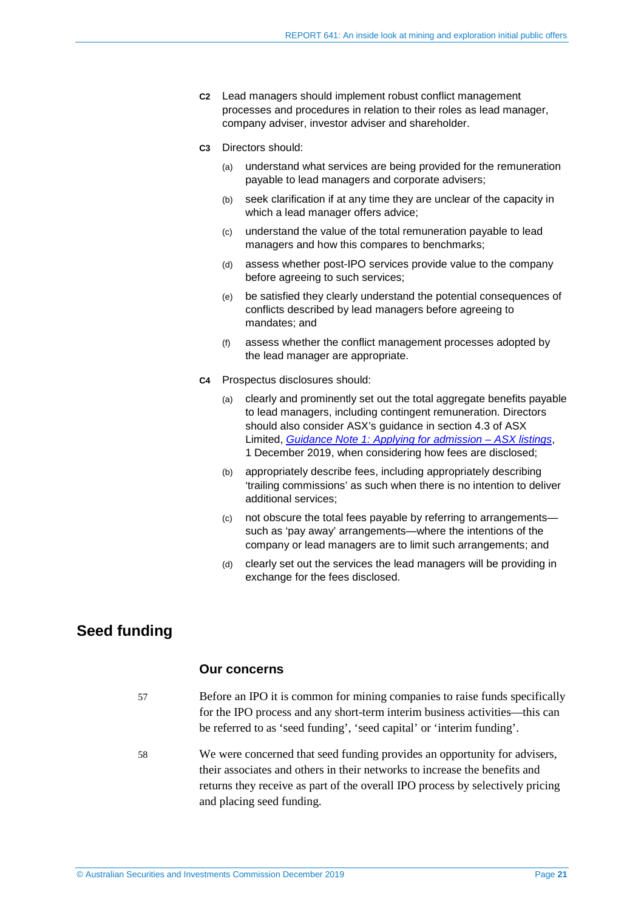- **C2** Lead managers should implement robust conflict management processes and procedures in relation to their roles as lead manager, company adviser, investor adviser and shareholder.
- **C3** Directors should:
	- (a) understand what services are being provided for the remuneration payable to lead managers and corporate advisers;
	- (b) seek clarification if at any time they are unclear of the capacity in which a lead manager offers advice;
	- (c) understand the value of the total remuneration payable to lead managers and how this compares to benchmarks;
	- (d) assess whether post-IPO services provide value to the company before agreeing to such services;
	- (e) be satisfied they clearly understand the potential consequences of conflicts described by lead managers before agreeing to mandates; and
	- (f) assess whether the conflict management processes adopted by the lead manager are appropriate.
- **C4** Prospectus disclosures should:
	- (a) clearly and prominently set out the total aggregate benefits payable to lead managers, including contingent remuneration. Directors should also consider ASX's guidance in section 4.3 of ASX Limited, *[Guidance Note 1: Applying for admission – ASX listings](https://www.asx.com.au/regulation/rules/asx-listing-rules.htm)*, 1 December 2019, when considering how fees are disclosed;
	- (b) appropriately describe fees, including appropriately describing 'trailing commissions' as such when there is no intention to deliver additional services;
	- (c) not obscure the total fees payable by referring to arrangements such as 'pay away' arrangements—where the intentions of the company or lead managers are to limit such arrangements; and
	- (d) clearly set out the services the lead managers will be providing in exchange for the fees disclosed.

## <span id="page-20-1"></span><span id="page-20-0"></span>**Seed funding**

#### **Our concerns**

- 57 Before an IPO it is common for mining companies to raise funds specifically for the IPO process and any short-term interim business activities—this can be referred to as 'seed funding', 'seed capital' or 'interim funding'.
- 58 We were concerned that seed funding provides an opportunity for advisers, their associates and others in their networks to increase the benefits and returns they receive as part of the overall IPO process by selectively pricing and placing seed funding.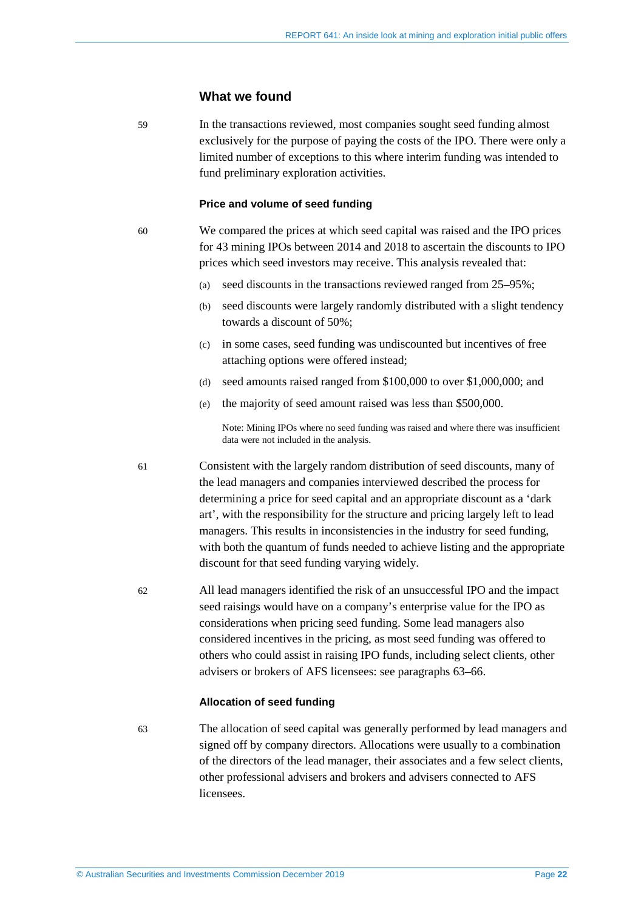#### **What we found**

59 In the transactions reviewed, most companies sought seed funding almost exclusively for the purpose of paying the costs of the IPO. There were only a limited number of exceptions to this where interim funding was intended to fund preliminary exploration activities.

#### **Price and volume of seed funding**

60 We compared the prices at which seed capital was raised and the IPO prices for 43 mining IPOs between 2014 and 2018 to ascertain the discounts to IPO prices which seed investors may receive. This analysis revealed that:

- (a) seed discounts in the transactions reviewed ranged from 25–95%;
- (b) seed discounts were largely randomly distributed with a slight tendency towards a discount of 50%;
- (c) in some cases, seed funding was undiscounted but incentives of free attaching options were offered instead;
- (d) seed amounts raised ranged from \$100,000 to over \$1,000,000; and
- (e) the majority of seed amount raised was less than \$500,000.

Note: Mining IPOs where no seed funding was raised and where there was insufficient data were not included in the analysis.

61 Consistent with the largely random distribution of seed discounts, many of the lead managers and companies interviewed described the process for determining a price for seed capital and an appropriate discount as a 'dark art', with the responsibility for the structure and pricing largely left to lead managers. This results in inconsistencies in the industry for seed funding, with both the quantum of funds needed to achieve listing and the appropriate discount for that seed funding varying widely.

62 All lead managers identified the risk of an unsuccessful IPO and the impact seed raisings would have on a company's enterprise value for the IPO as considerations when pricing seed funding. Some lead managers also considered incentives in the pricing, as most seed funding was offered to others who could assist in raising IPO funds, including select clients, other advisers or brokers of AFS licensees: see paragraphs [63](#page-21-0)[–66.](#page-22-1)

#### **Allocation of seed funding**

<span id="page-21-0"></span>

63 The allocation of seed capital was generally performed by lead managers and signed off by company directors. Allocations were usually to a combination of the directors of the lead manager, their associates and a few select clients, other professional advisers and brokers and advisers connected to AFS licensees.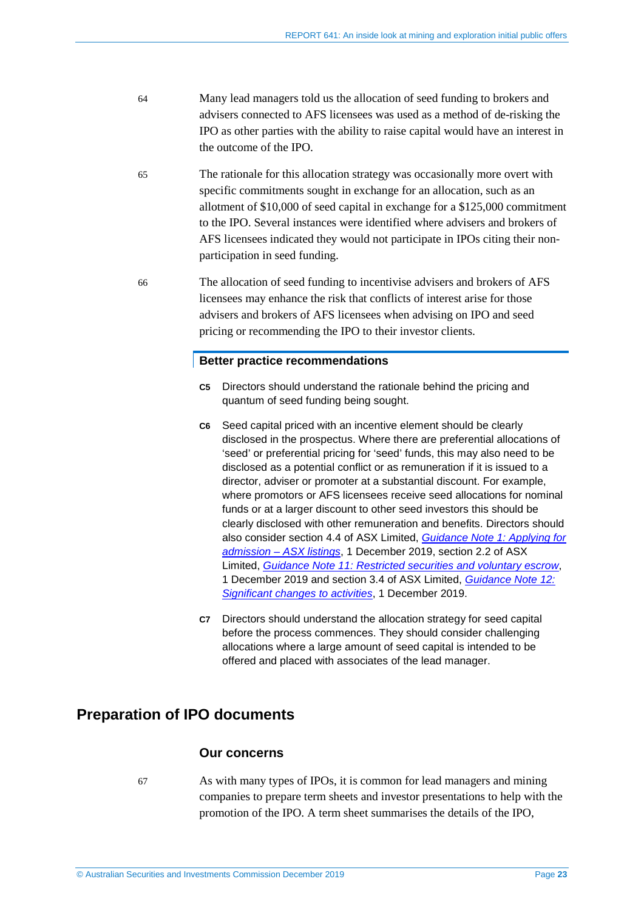- 64 Many lead managers told us the allocation of seed funding to brokers and advisers connected to AFS licensees was used as a method of de-risking the IPO as other parties with the ability to raise capital would have an interest in the outcome of the IPO.
- 65 The rationale for this allocation strategy was occasionally more overt with specific commitments sought in exchange for an allocation, such as an allotment of \$10,000 of seed capital in exchange for a \$125,000 commitment to the IPO. Several instances were identified where advisers and brokers of AFS licensees indicated they would not participate in IPOs citing their nonparticipation in seed funding.
- <span id="page-22-1"></span>66 The allocation of seed funding to incentivise advisers and brokers of AFS licensees may enhance the risk that conflicts of interest arise for those advisers and brokers of AFS licensees when advising on IPO and seed pricing or recommending the IPO to their investor clients.

#### **Better practice recommendations**

- **C5** Directors should understand the rationale behind the pricing and quantum of seed funding being sought.
- **C6** Seed capital priced with an incentive element should be clearly disclosed in the prospectus. Where there are preferential allocations of 'seed' or preferential pricing for 'seed' funds, this may also need to be disclosed as a potential conflict or as remuneration if it is issued to a director, adviser or promoter at a substantial discount. For example, where promotors or AFS licensees receive seed allocations for nominal funds or at a larger discount to other seed investors this should be clearly disclosed with other remuneration and benefits. Directors should also consider section 4.4 of ASX Limited, *[Guidance Note 1: Applying for](https://www.asx.com.au/regulation/rules/asx-listing-rules.htm)  [admission – ASX listings](https://www.asx.com.au/regulation/rules/asx-listing-rules.htm)*, 1 December 2019, section 2.2 of ASX Limited, *Guidance Note 11: [Restricted securities and voluntary escrow](https://www.asx.com.au/regulation/rules/asx-listing-rules.htm)*, 1 December 2019 and section 3.4 of ASX Limited, *[Guidance Note 12:](https://www.asx.com.au/regulation/rules/asx-listing-rules.htm)  [Significant changes to activities](https://www.asx.com.au/regulation/rules/asx-listing-rules.htm)*, 1 December 2019.
- **C7** Directors should understand the allocation strategy for seed capital before the process commences. They should consider challenging allocations where a large amount of seed capital is intended to be offered and placed with associates of the lead manager.

### <span id="page-22-0"></span>**Preparation of IPO documents**

#### **Our concerns**

67 As with many types of IPOs, it is common for lead managers and mining companies to prepare term sheets and investor presentations to help with the promotion of the IPO. A term sheet summarises the details of the IPO,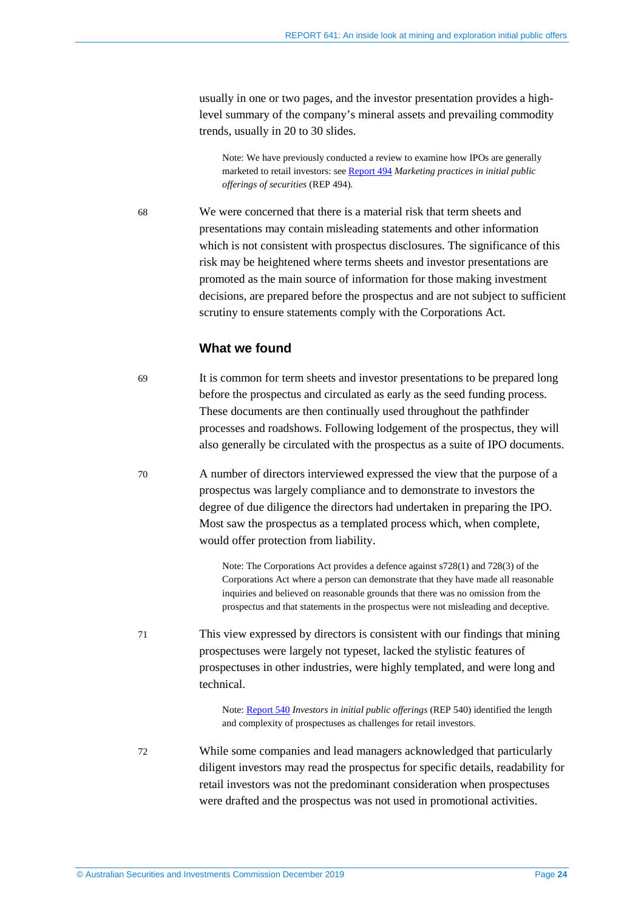usually in one or two pages, and the investor presentation provides a highlevel summary of the company's mineral assets and prevailing commodity trends, usually in 20 to 30 slides.

Note: We have previously conducted a review to examine how IPOs are generally marketed to retail investors: se[e Report 494](https://asic.gov.au/regulatory-resources/find-a-document/reports/rep-494-marketing-practices-in-initial-public-offerings-of-securities/) *Marketing practices in initial public offerings of securities* (REP 494).

68 We were concerned that there is a material risk that term sheets and presentations may contain misleading statements and other information which is not consistent with prospectus disclosures. The significance of this risk may be heightened where terms sheets and investor presentations are promoted as the main source of information for those making investment decisions, are prepared before the prospectus and are not subject to sufficient scrutiny to ensure statements comply with the Corporations Act.

#### **What we found**

69 It is common for term sheets and investor presentations to be prepared long before the prospectus and circulated as early as the seed funding process. These documents are then continually used throughout the pathfinder processes and roadshows. Following lodgement of the prospectus, they will also generally be circulated with the prospectus as a suite of IPO documents.

70 A number of directors interviewed expressed the view that the purpose of a prospectus was largely compliance and to demonstrate to investors the degree of due diligence the directors had undertaken in preparing the IPO. Most saw the prospectus as a templated process which, when complete, would offer protection from liability.

> Note: The Corporations Act provides a defence against s728(1) and 728(3) of the Corporations Act where a person can demonstrate that they have made all reasonable inquiries and believed on reasonable grounds that there was no omission from the prospectus and that statements in the prospectus were not misleading and deceptive.

71 This view expressed by directors is consistent with our findings that mining prospectuses were largely not typeset, lacked the stylistic features of prospectuses in other industries, were highly templated, and were long and technical.

> Note: [Report 540](https://asic.gov.au/regulatory-resources/find-a-document/reports/rep-540-investors-in-initial-public-offerings/) *Investors in initial public offerings* (REP 540) identified the length and complexity of prospectuses as challenges for retail investors.

72 While some companies and lead managers acknowledged that particularly diligent investors may read the prospectus for specific details, readability for retail investors was not the predominant consideration when prospectuses were drafted and the prospectus was not used in promotional activities.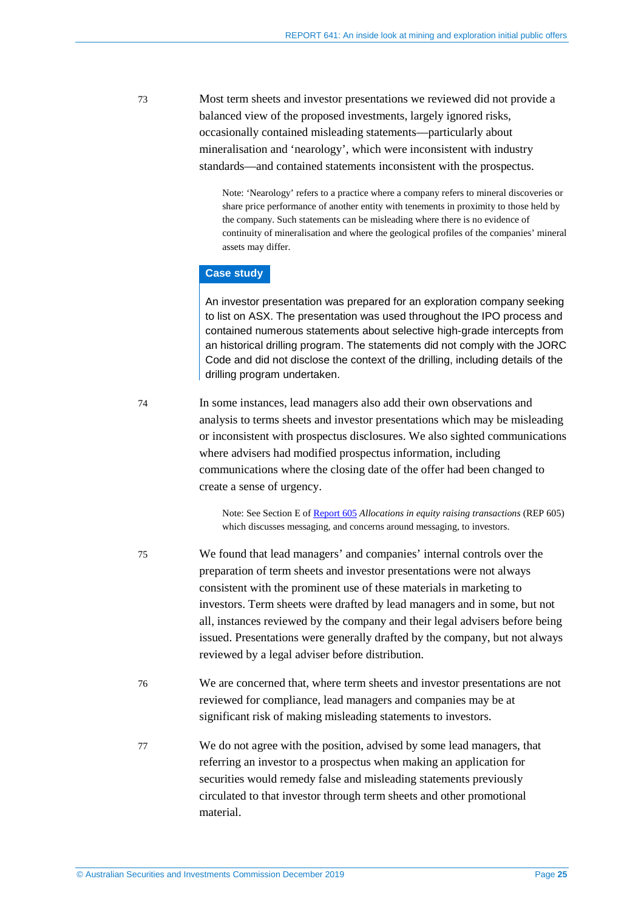73 Most term sheets and investor presentations we reviewed did not provide a balanced view of the proposed investments, largely ignored risks, occasionally contained misleading statements—particularly about mineralisation and 'nearology', which were inconsistent with industry standards—and contained statements inconsistent with the prospectus.

> Note: 'Nearology' refers to a practice where a company refers to mineral discoveries or share price performance of another entity with tenements in proximity to those held by the company. Such statements can be misleading where there is no evidence of continuity of mineralisation and where the geological profiles of the companies' mineral assets may differ.

#### **Case study**

An investor presentation was prepared for an exploration company seeking to list on ASX. The presentation was used throughout the IPO process and contained numerous statements about selective high-grade intercepts from an historical drilling program. The statements did not comply with the JORC Code and did not disclose the context of the drilling, including details of the drilling program undertaken.

74 In some instances, lead managers also add their own observations and analysis to terms sheets and investor presentations which may be misleading or inconsistent with prospectus disclosures. We also sighted communications where advisers had modified prospectus information, including communications where the closing date of the offer had been changed to create a sense of urgency.

> Note: See Section E of [Report 605](https://asic.gov.au/regulatory-resources/find-a-document/reports/rep-605-allocations-in-equity-raising-transactions/) *Allocations in equity raising transactions* (REP 605) which discusses messaging, and concerns around messaging, to investors.

- 75 We found that lead managers' and companies' internal controls over the preparation of term sheets and investor presentations were not always consistent with the prominent use of these materials in marketing to investors. Term sheets were drafted by lead managers and in some, but not all, instances reviewed by the company and their legal advisers before being issued. Presentations were generally drafted by the company, but not always reviewed by a legal adviser before distribution.
- 76 We are concerned that, where term sheets and investor presentations are not reviewed for compliance, lead managers and companies may be at significant risk of making misleading statements to investors.
- 77 We do not agree with the position, advised by some lead managers, that referring an investor to a prospectus when making an application for securities would remedy false and misleading statements previously circulated to that investor through term sheets and other promotional material.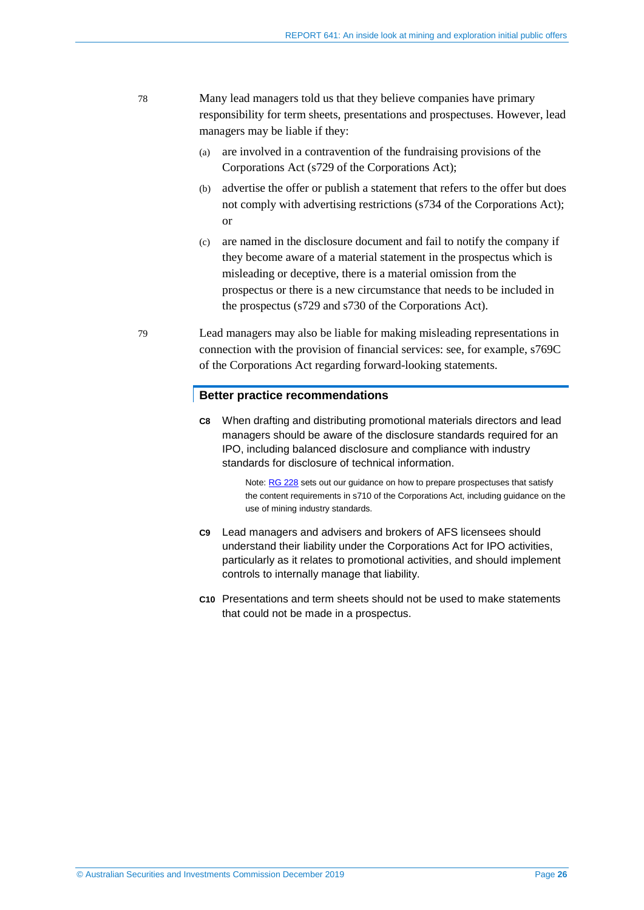- 78 Many lead managers told us that they believe companies have primary responsibility for term sheets, presentations and prospectuses. However, lead managers may be liable if they:
	- (a) are involved in a contravention of the fundraising provisions of the Corporations Act (s729 of the Corporations Act);
	- (b) advertise the offer or publish a statement that refers to the offer but does not comply with advertising restrictions (s734 of the Corporations Act); or
	- (c) are named in the disclosure document and fail to notify the company if they become aware of a material statement in the prospectus which is misleading or deceptive, there is a material omission from the prospectus or there is a new circumstance that needs to be included in the prospectus (s729 and s730 of the Corporations Act).
- 79 Lead managers may also be liable for making misleading representations in connection with the provision of financial services: see, for example, s769C of the Corporations Act regarding forward-looking statements.

#### **Better practice recommendations**

**C8** When drafting and distributing promotional materials directors and lead managers should be aware of the disclosure standards required for an IPO, including balanced disclosure and compliance with industry standards for disclosure of technical information.

> Note[: RG 228](https://asic.gov.au/regulatory-resources/find-a-document/regulatory-guides/rg-228-prospectuses-effective-disclosure-for-retail-investors/) sets out our guidance on how to prepare prospectuses that satisfy the content requirements in s710 of the Corporations Act, including guidance on the use of mining industry standards.

- **C9** Lead managers and advisers and brokers of AFS licensees should understand their liability under the Corporations Act for IPO activities, particularly as it relates to promotional activities, and should implement controls to internally manage that liability.
- **C10** Presentations and term sheets should not be used to make statements that could not be made in a prospectus.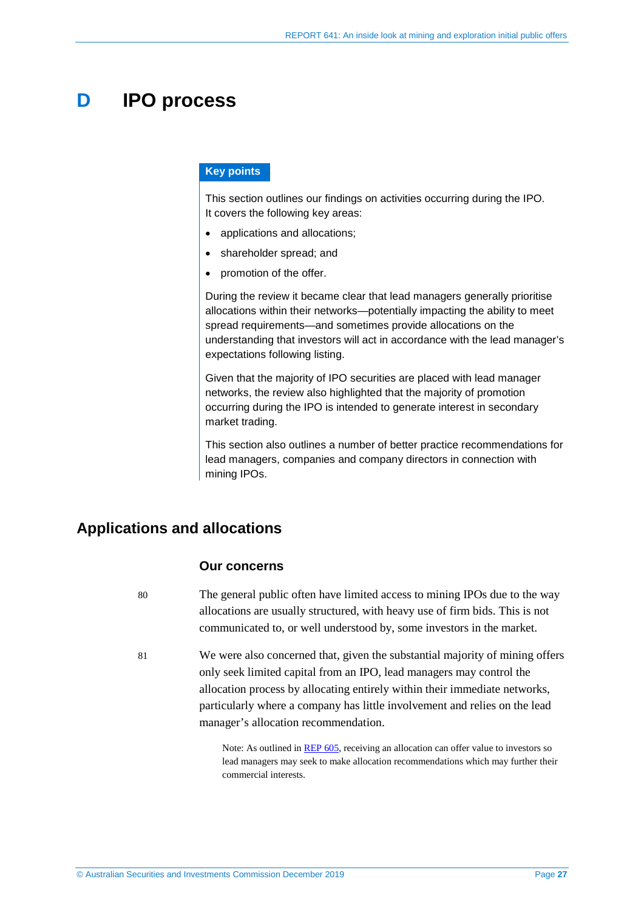## <span id="page-26-0"></span>**D IPO process**

#### **Key points**

This section outlines our findings on activities occurring during the IPO. It covers the following key areas:

- applications and allocations:
- shareholder spread; and
- promotion of the offer.

During the review it became clear that lead managers generally prioritise allocations within their networks—potentially impacting the ability to meet spread requirements—and sometimes provide allocations on the understanding that investors will act in accordance with the lead manager's expectations following listing.

Given that the majority of IPO securities are placed with lead manager networks, the review also highlighted that the majority of promotion occurring during the IPO is intended to generate interest in secondary market trading.

This section also outlines a number of better practice recommendations for lead managers, companies and company directors in connection with mining IPOs.

## <span id="page-26-1"></span>**Applications and allocations**

#### **Our concerns**

80 The general public often have limited access to mining IPOs due to the way allocations are usually structured, with heavy use of firm bids. This is not communicated to, or well understood by, some investors in the market.

81 We were also concerned that, given the substantial majority of mining offers only seek limited capital from an IPO, lead managers may control the allocation process by allocating entirely within their immediate networks, particularly where a company has little involvement and relies on the lead manager's allocation recommendation.

> Note: As outlined in [REP 605,](https://asic.gov.au/regulatory-resources/find-a-document/reports/rep-605-allocations-in-equity-raising-transactions/) receiving an allocation can offer value to investors so lead managers may seek to make allocation recommendations which may further their commercial interests.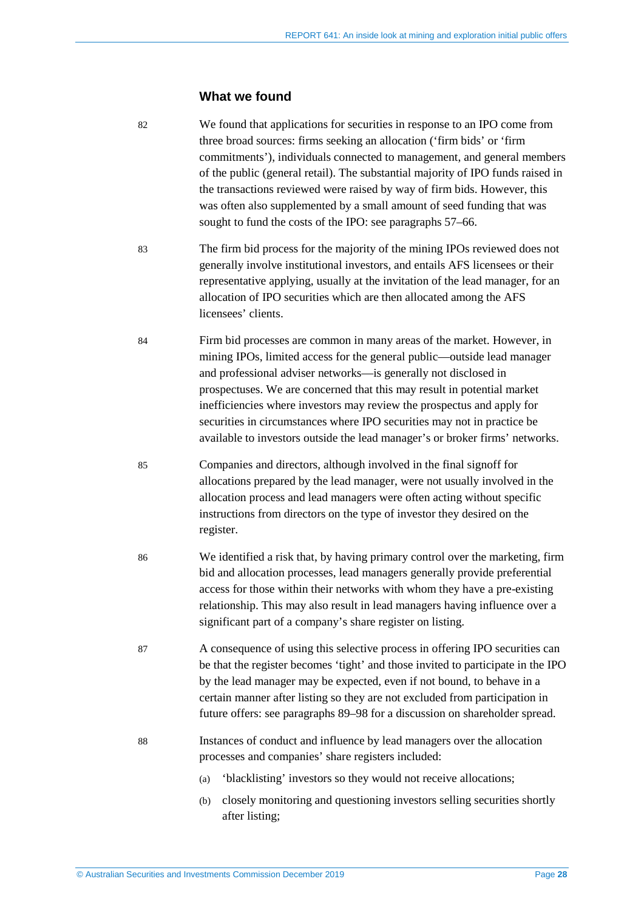#### **What we found**

82 We found that applications for securities in response to an IPO come from three broad sources: firms seeking an allocation ('firm bids' or 'firm commitments'), individuals connected to management, and general members of the public (general retail). The substantial majority of IPO funds raised in the transactions reviewed were raised by way of firm bids. However, this was often also supplemented by a small amount of seed funding that was sought to fund the costs of the IPO: see paragraphs [57](#page-20-1)[–66.](#page-22-1)

- 83 The firm bid process for the majority of the mining IPOs reviewed does not generally involve institutional investors, and entails AFS licensees or their representative applying, usually at the invitation of the lead manager, for an allocation of IPO securities which are then allocated among the AFS licensees' clients.
- 84 Firm bid processes are common in many areas of the market. However, in mining IPOs, limited access for the general public—outside lead manager and professional adviser networks—is generally not disclosed in prospectuses. We are concerned that this may result in potential market inefficiencies where investors may review the prospectus and apply for securities in circumstances where IPO securities may not in practice be available to investors outside the lead manager's or broker firms' networks.
- 85 Companies and directors, although involved in the final signoff for allocations prepared by the lead manager, were not usually involved in the allocation process and lead managers were often acting without specific instructions from directors on the type of investor they desired on the register.
- 86 We identified a risk that, by having primary control over the marketing, firm bid and allocation processes, lead managers generally provide preferential access for those within their networks with whom they have a pre-existing relationship. This may also result in lead managers having influence over a significant part of a company's share register on listing.
- 87 A consequence of using this selective process in offering IPO securities can be that the register becomes 'tight' and those invited to participate in the IPO by the lead manager may be expected, even if not bound, to behave in a certain manner after listing so they are not excluded from participation in future offers: see paragraphs [89–](#page-29-1)[98](#page-31-0) for a discussion on shareholder spread.
- 88 Instances of conduct and influence by lead managers over the allocation processes and companies' share registers included:
	- (a) 'blacklisting' investors so they would not receive allocations;
	- (b) closely monitoring and questioning investors selling securities shortly after listing;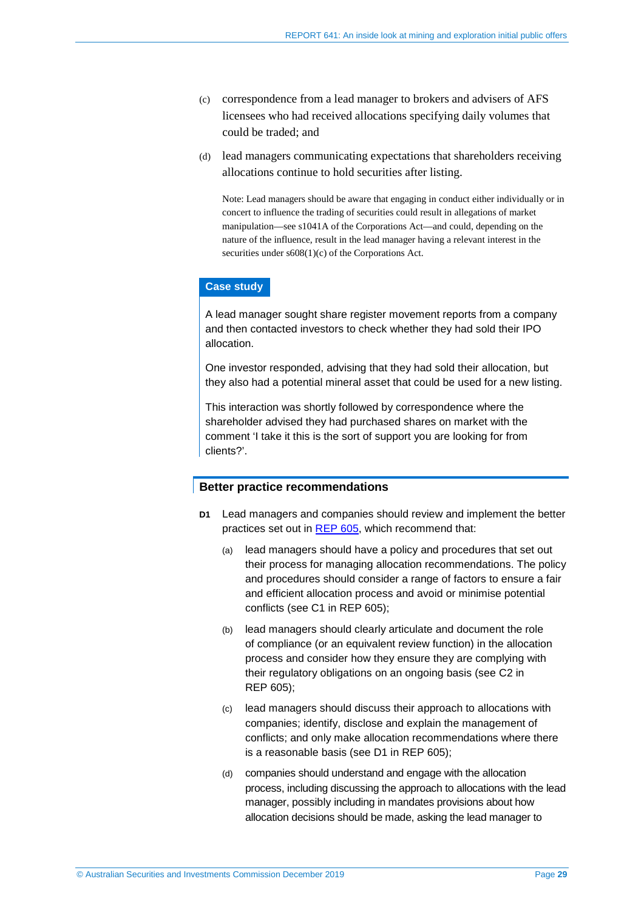- (c) correspondence from a lead manager to brokers and advisers of AFS licensees who had received allocations specifying daily volumes that could be traded; and
- (d) lead managers communicating expectations that shareholders receiving allocations continue to hold securities after listing.

Note: Lead managers should be aware that engaging in conduct either individually or in concert to influence the trading of securities could result in allegations of market manipulation—see s1041A of the Corporations Act—and could, depending on the nature of the influence, result in the lead manager having a relevant interest in the securities under s608(1)(c) of the Corporations Act.

#### **Case study**

A lead manager sought share register movement reports from a company and then contacted investors to check whether they had sold their IPO allocation.

One investor responded, advising that they had sold their allocation, but they also had a potential mineral asset that could be used for a new listing.

This interaction was shortly followed by correspondence where the shareholder advised they had purchased shares on market with the comment 'I take it this is the sort of support you are looking for from clients?'.

#### **Better practice recommendations**

- **D1** Lead managers and companies should review and implement the better practices set out in [REP 605,](https://asic.gov.au/regulatory-resources/find-a-document/reports/rep-605-allocations-in-equity-raising-transactions/) which recommend that:
	- (a) lead managers should have a policy and procedures that set out their process for managing allocation recommendations. The policy and procedures should consider a range of factors to ensure a fair and efficient allocation process and avoid or minimise potential conflicts (see C1 in REP 605);
	- (b) lead managers should clearly articulate and document the role of compliance (or an equivalent review function) in the allocation process and consider how they ensure they are complying with their regulatory obligations on an ongoing basis (see C2 in REP 605);
	- (c) lead managers should discuss their approach to allocations with companies; identify, disclose and explain the management of conflicts; and only make allocation recommendations where there is a reasonable basis (see D1 in REP 605);
	- (d) companies should understand and engage with the allocation process, including discussing the approach to allocations with the lead manager, possibly including in mandates provisions about how allocation decisions should be made, asking the lead manager to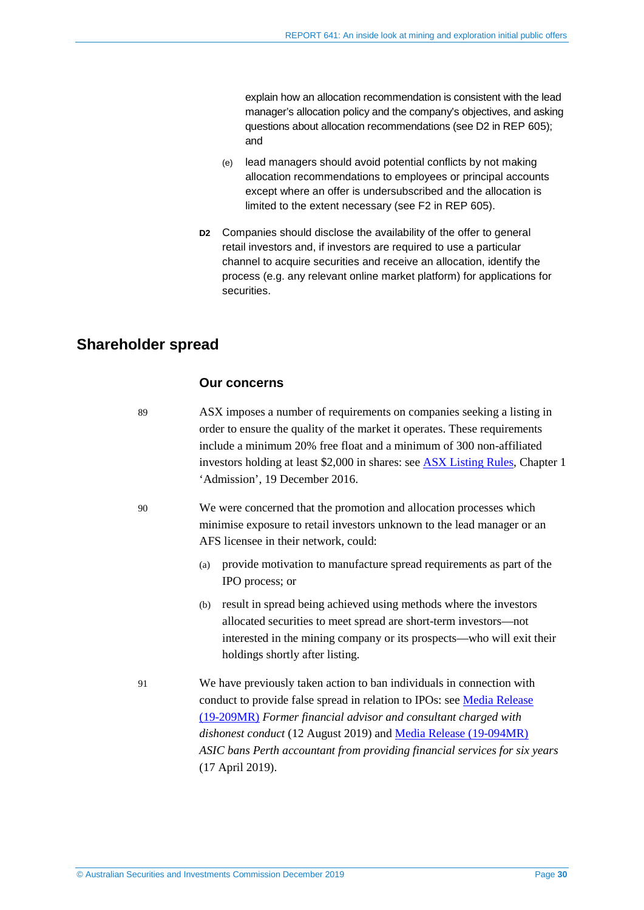explain how an allocation recommendation is consistent with the lead manager's allocation policy and the company's objectives, and asking questions about allocation recommendations (see D2 in REP 605); and

- (e) lead managers should avoid potential conflicts by not making allocation recommendations to employees or principal accounts except where an offer is undersubscribed and the allocation is limited to the extent necessary (see F2 in REP 605).
- **D2** Companies should disclose the availability of the offer to general retail investors and, if investors are required to use a particular channel to acquire securities and receive an allocation, identify the process (e.g. any relevant online market platform) for applications for securities.

### <span id="page-29-1"></span><span id="page-29-0"></span>**Shareholder spread**

#### **Our concerns**

89 ASX imposes a number of requirements on companies seeking a listing in order to ensure the quality of the market it operates. These requirements include a minimum 20% free float and a minimum of 300 non-affiliated investors holding at least \$2,000 in shares: see [ASX Listing Rules,](https://www.asx.com.au/regulation/rules/asx-listing-rules.htm) Chapter 1 'Admission', 19 December 2016.

90 We were concerned that the promotion and allocation processes which minimise exposure to retail investors unknown to the lead manager or an AFS licensee in their network, could:

- (a) provide motivation to manufacture spread requirements as part of the IPO process; or
- (b) result in spread being achieved using methods where the investors allocated securities to meet spread are short-term investors—not interested in the mining company or its prospects—who will exit their holdings shortly after listing.
- 91 We have previously taken action to ban individuals in connection with conduct to provide false spread in relation to IPOs: see [Media Release](https://asic.gov.au/about-asic/news-centre/find-a-media-release/2019-releases/19-209mr-former-financial-advisor-and-consultant-charged-with-dishonest-conduct/)  [\(19-209MR\)](https://asic.gov.au/about-asic/news-centre/find-a-media-release/2019-releases/19-209mr-former-financial-advisor-and-consultant-charged-with-dishonest-conduct/) *Former financial advisor and consultant charged with dishonest conduct* (12 August 2019) and [Media Release \(19-094MR\)](https://asic.gov.au/about-asic/news-centre/find-a-media-release/2019-releases/19-094mr-asic-bans-perth-accountant-from-providing-financial-services-for-six-years/) *ASIC bans Perth accountant from providing financial services for six years* (17 April 2019).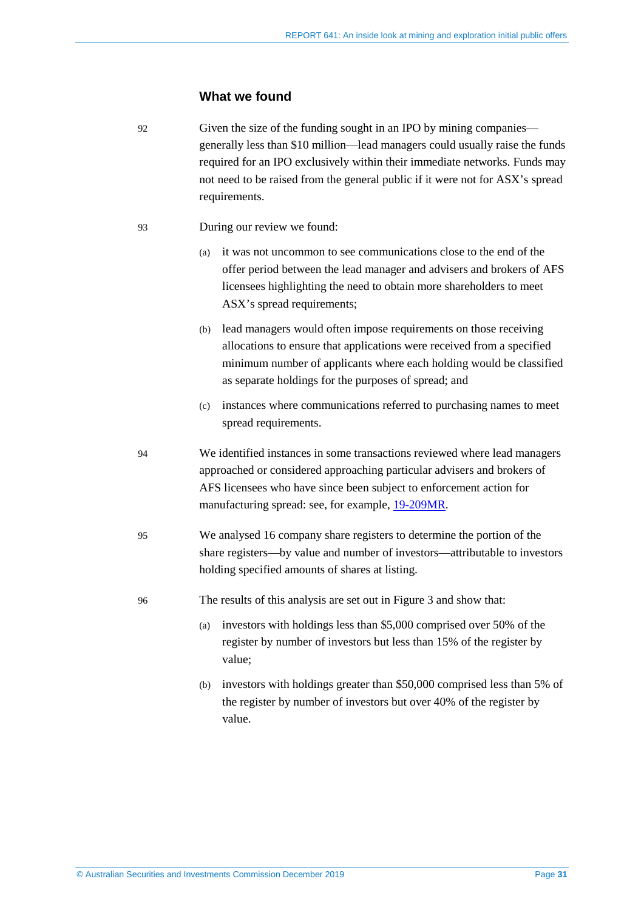#### **What we found**

92 Given the size of the funding sought in an IPO by mining companies generally less than \$10 million—lead managers could usually raise the funds required for an IPO exclusively within their immediate networks. Funds may not need to be raised from the general public if it were not for ASX's spread requirements.

- 93 During our review we found:
	- (a) it was not uncommon to see communications close to the end of the offer period between the lead manager and advisers and brokers of AFS licensees highlighting the need to obtain more shareholders to meet ASX's spread requirements;
	- (b) lead managers would often impose requirements on those receiving allocations to ensure that applications were received from a specified minimum number of applicants where each holding would be classified as separate holdings for the purposes of spread; and
	- (c) instances where communications referred to purchasing names to meet spread requirements.
- 94 We identified instances in some transactions reviewed where lead managers approached or considered approaching particular advisers and brokers of AFS licensees who have since been subject to enforcement action for manufacturing spread: see, for example, [19-209MR.](https://asic.gov.au/about-asic/news-centre/find-a-media-release/2019-releases/19-209mr-former-financial-advisor-and-consultant-charged-with-dishonest-conduct/)
- 95 We analysed 16 company share registers to determine the portion of the share registers—by value and number of investors—attributable to investors holding specified amounts of shares at listing.
- 96 The results of this analysis are set out i[n Figure 3](#page-31-1) and show that:
	- (a) investors with holdings less than \$5,000 comprised over 50% of the register by number of investors but less than 15% of the register by value;
	- (b) investors with holdings greater than \$50,000 comprised less than 5% of the register by number of investors but over 40% of the register by value.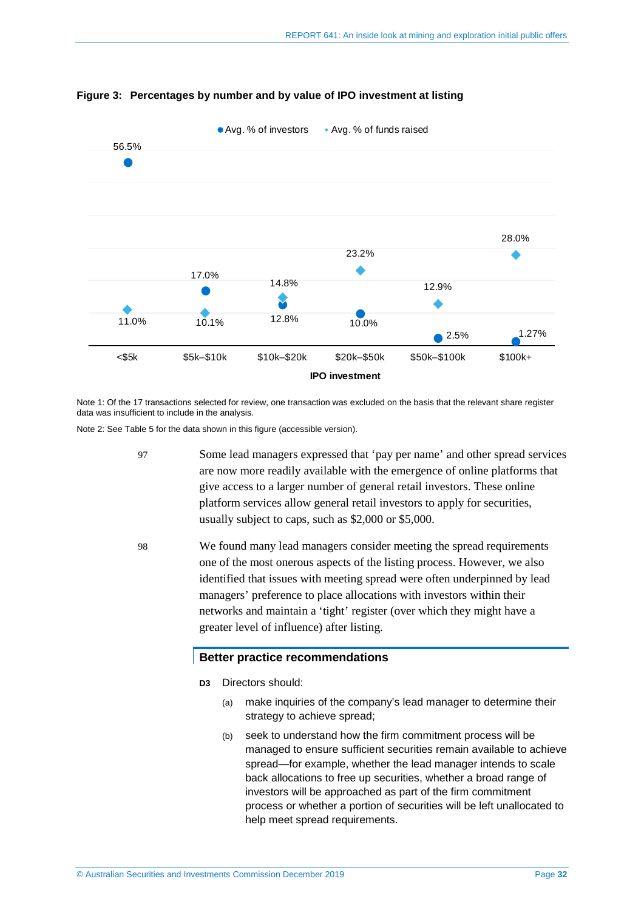

<span id="page-31-1"></span>**Figure 3: Percentages by number and by value of IPO investment at listing**

Note 1: Of the 17 transactions selected for review, one transaction was excluded on the basis that the relevant share register data was insufficient to include in the analysis.

Note 2: Se[e Table 5](#page-44-3) for the data shown in this figure (accessible version).

- 97 Some lead managers expressed that 'pay per name' and other spread services are now more readily available with the emergence of online platforms that give access to a larger number of general retail investors. These online platform services allow general retail investors to apply for securities, usually subject to caps, such as \$2,000 or \$5,000.
- <span id="page-31-0"></span>98 We found many lead managers consider meeting the spread requirements one of the most onerous aspects of the listing process. However, we also identified that issues with meeting spread were often underpinned by lead managers' preference to place allocations with investors within their networks and maintain a 'tight' register (over which they might have a greater level of influence) after listing.

#### **Better practice recommendations**

**D3** Directors should:

- (a) make inquiries of the company's lead manager to determine their strategy to achieve spread;
- (b) seek to understand how the firm commitment process will be managed to ensure sufficient securities remain available to achieve spread—for example, whether the lead manager intends to scale back allocations to free up securities, whether a broad range of investors will be approached as part of the firm commitment process or whether a portion of securities will be left unallocated to help meet spread requirements.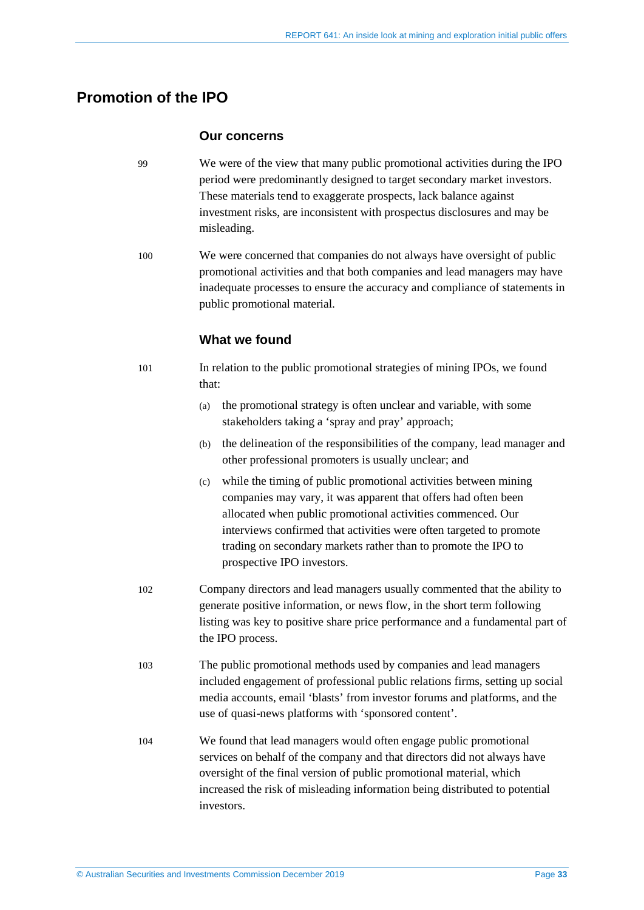## <span id="page-32-0"></span>**Promotion of the IPO**

#### **Our concerns**

- 99 We were of the view that many public promotional activities during the IPO period were predominantly designed to target secondary market investors. These materials tend to exaggerate prospects, lack balance against investment risks, are inconsistent with prospectus disclosures and may be misleading.
- 100 We were concerned that companies do not always have oversight of public promotional activities and that both companies and lead managers may have inadequate processes to ensure the accuracy and compliance of statements in public promotional material.

### **What we found**

- 101 In relation to the public promotional strategies of mining IPOs, we found that:
	- (a) the promotional strategy is often unclear and variable, with some stakeholders taking a 'spray and pray' approach;
	- (b) the delineation of the responsibilities of the company, lead manager and other professional promoters is usually unclear; and
	- (c) while the timing of public promotional activities between mining companies may vary, it was apparent that offers had often been allocated when public promotional activities commenced. Our interviews confirmed that activities were often targeted to promote trading on secondary markets rather than to promote the IPO to prospective IPO investors.
- 102 Company directors and lead managers usually commented that the ability to generate positive information, or news flow, in the short term following listing was key to positive share price performance and a fundamental part of the IPO process.
- 103 The public promotional methods used by companies and lead managers included engagement of professional public relations firms, setting up social media accounts, email 'blasts' from investor forums and platforms, and the use of quasi-news platforms with 'sponsored content'.
- 104 We found that lead managers would often engage public promotional services on behalf of the company and that directors did not always have oversight of the final version of public promotional material, which increased the risk of misleading information being distributed to potential investors.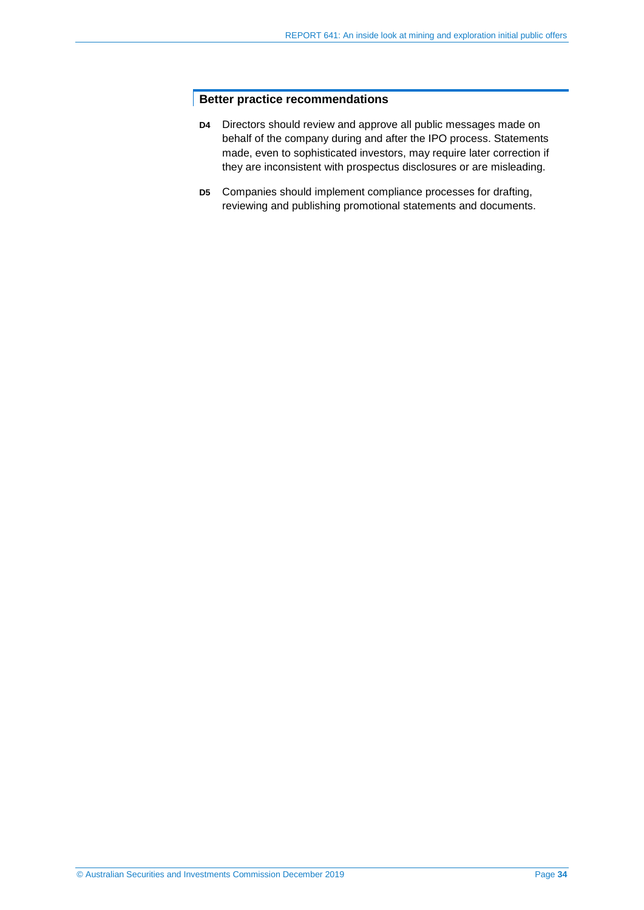#### **Better practice recommendations**

- **D4** Directors should review and approve all public messages made on behalf of the company during and after the IPO process. Statements made, even to sophisticated investors, may require later correction if they are inconsistent with prospectus disclosures or are misleading.
- **D5** Companies should implement compliance processes for drafting, reviewing and publishing promotional statements and documents.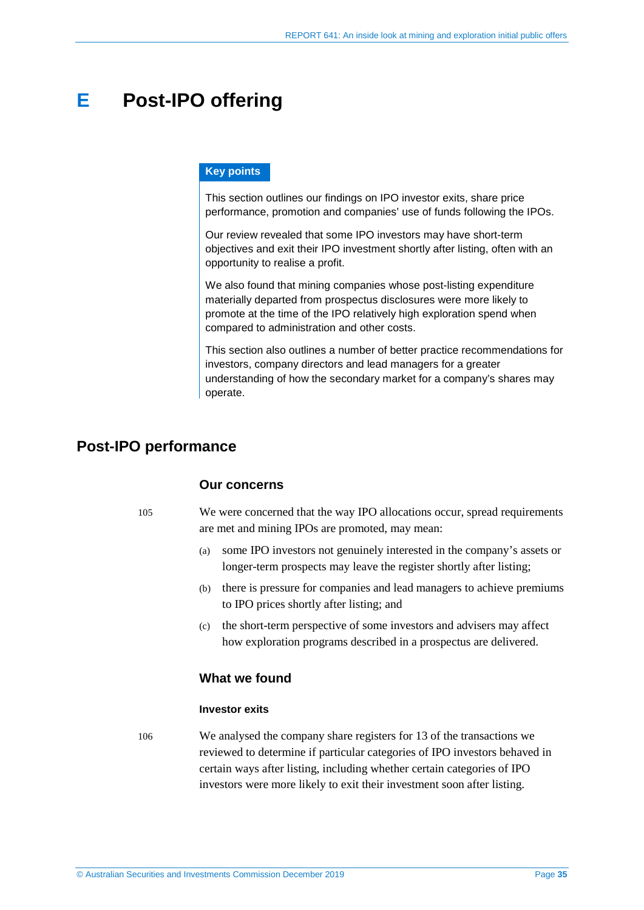## <span id="page-34-0"></span>**E Post-IPO offering**

#### **Key points**

This section outlines our findings on IPO investor exits, share price performance, promotion and companies' use of funds following the IPOs.

Our review revealed that some IPO investors may have short-term objectives and exit their IPO investment shortly after listing, often with an opportunity to realise a profit.

We also found that mining companies whose post-listing expenditure materially departed from prospectus disclosures were more likely to promote at the time of the IPO relatively high exploration spend when compared to administration and other costs.

This section also outlines a number of better practice recommendations for investors, company directors and lead managers for a greater understanding of how the secondary market for a company's shares may operate.

### <span id="page-34-1"></span>**Post-IPO performance**

#### **Our concerns**

- 105 We were concerned that the way IPO allocations occur, spread requirements are met and mining IPOs are promoted, may mean:
	- (a) some IPO investors not genuinely interested in the company's assets or longer-term prospects may leave the register shortly after listing;
	- (b) there is pressure for companies and lead managers to achieve premiums to IPO prices shortly after listing; and
	- (c) the short-term perspective of some investors and advisers may affect how exploration programs described in a prospectus are delivered.

#### **What we found**

#### **Investor exits**

<span id="page-34-2"></span>106 We analysed the company share registers for 13 of the transactions we reviewed to determine if particular categories of IPO investors behaved in certain ways after listing, including whether certain categories of IPO investors were more likely to exit their investment soon after listing.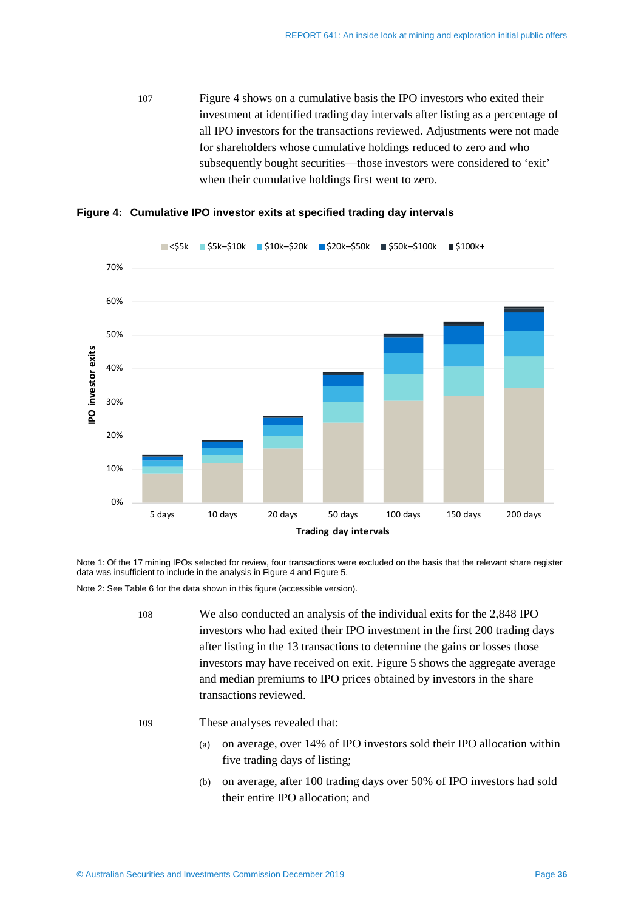107 [Figure](#page-35-0) 4 shows on a cumulative basis the IPO investors who exited their investment at identified trading day intervals after listing as a percentage of all IPO investors for the transactions reviewed. Adjustments were not made for shareholders whose cumulative holdings reduced to zero and who subsequently bought securities—those investors were considered to 'exit' when their cumulative holdings first went to zero.



<span id="page-35-0"></span>**Figure 4: Cumulative IPO investor exits at specified trading day intervals**

Note 1: Of the 17 mining IPOs selected for review, four transactions were excluded on the basis that the relevant share register data was insufficient to include in the analysis in [Figure 4](#page-35-0) an[d Figure 5.](#page-36-0) 

Note 2: Se[e Table 6](#page-45-0) for the data shown in this figure (accessible version).

- 108 We also conducted an analysis of the individual exits for the 2,848 IPO investors who had exited their IPO investment in the first 200 trading days after listing in the 13 transactions to determine the gains or losses those investors may have received on exit[. Figure 5](#page-36-0) shows the aggregate average and median premiums to IPO prices obtained by investors in the share transactions reviewed.
- 109 These analyses revealed that:
	- (a) on average, over 14% of IPO investors sold their IPO allocation within five trading days of listing;
	- (b) on average, after 100 trading days over 50% of IPO investors had sold their entire IPO allocation; and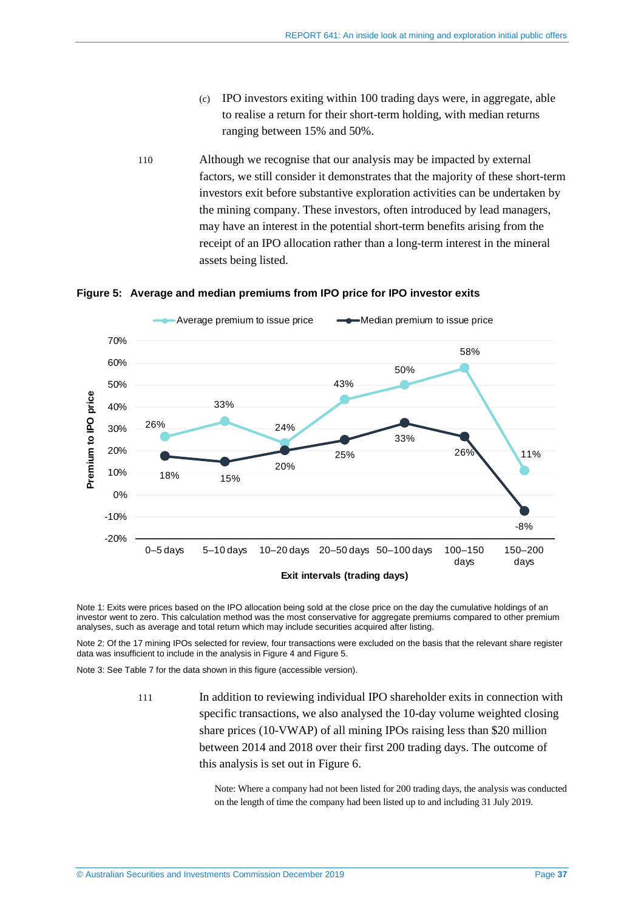- (c) IPO investors exiting within 100 trading days were, in aggregate, able to realise a return for their short-term holding, with median returns ranging between 15% and 50%.
- <span id="page-36-1"></span>110 Although we recognise that our analysis may be impacted by external factors, we still consider it demonstrates that the majority of these short-term investors exit before substantive exploration activities can be undertaken by the mining company. These investors, often introduced by lead managers, may have an interest in the potential short-term benefits arising from the receipt of an IPO allocation rather than a long-term interest in the mineral assets being listed.



#### <span id="page-36-0"></span>**Figure 5: Average and median premiums from IPO price for IPO investor exits**

Note 1: Exits were prices based on the IPO allocation being sold at the close price on the day the cumulative holdings of an investor went to zero. This calculation method was the most conservative for aggregate premiums compared to other premium analyses, such as average and total return which may include securities acquired after listing.

Note 2: Of the 17 mining IPOs selected for review, four transactions were excluded on the basis that the relevant share register data was insufficient to include in the analysis in [Figure 4](#page-35-0) an[d Figure 5.](#page-36-0) 

Note 3: Se[e Table 7](#page-45-1) for the data shown in this figure (accessible version).

111 In addition to reviewing individual IPO shareholder exits in connection with specific transactions, we also analysed the 10-day volume weighted closing share prices (10-VWAP) of all mining IPOs raising less than \$20 million between 2014 and 2018 over their first 200 trading days. The outcome of this analysis is set out in [Figure 6.](#page-37-0)

> Note: Where a company had not been listed for 200 trading days, the analysis was conducted on the length of time the company had been listed up to and including 31 July 2019.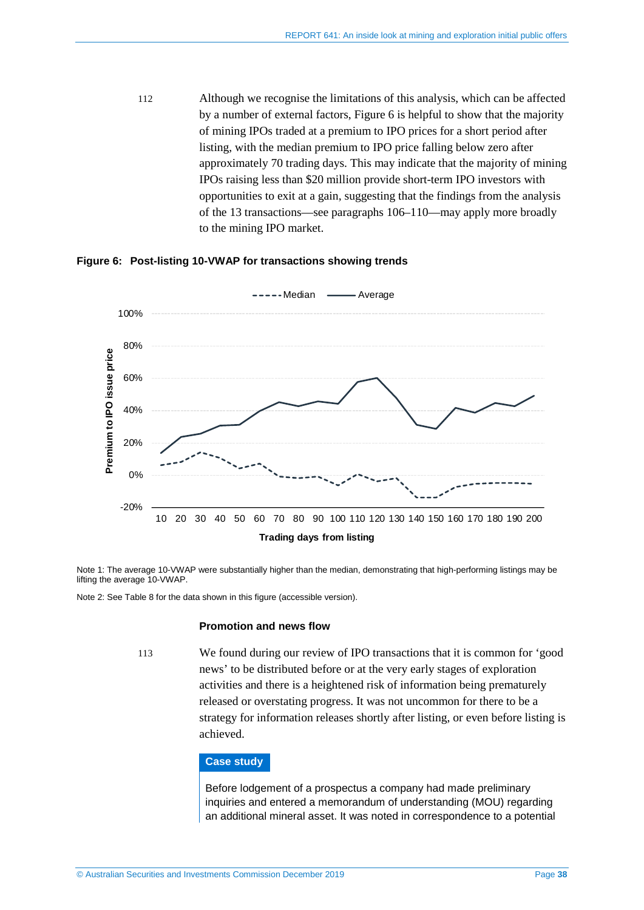112 Although we recognise the limitations of this analysis, which can be affected by a number of external factors, [Figure 6](#page-37-0) is helpful to show that the majority of mining IPOs traded at a premium to IPO prices for a short period after listing, with the median premium to IPO price falling below zero after approximately 70 trading days. This may indicate that the majority of mining IPOs raising less than \$20 million provide short-term IPO investors with opportunities to exit at a gain, suggesting that the findings from the analysis of the 13 transactions—see paragraphs [106](#page-34-2)[–110—](#page-36-1)may apply more broadly to the mining IPO market.



#### <span id="page-37-0"></span>**Figure 6: Post-listing 10-VWAP for transactions showing trends**

Note 1: The average 10-VWAP were substantially higher than the median, demonstrating that high-performing listings may be lifting the average 10-VWAP.

Note 2: Se[e Table 8](#page-45-2) for the data shown in this figure (accessible version).

#### **Promotion and news flow**

113 We found during our review of IPO transactions that it is common for 'good news' to be distributed before or at the very early stages of exploration activities and there is a heightened risk of information being prematurely released or overstating progress. It was not uncommon for there to be a strategy for information releases shortly after listing, or even before listing is achieved.

#### **Case study**

Before lodgement of a prospectus a company had made preliminary inquiries and entered a memorandum of understanding (MOU) regarding an additional mineral asset. It was noted in correspondence to a potential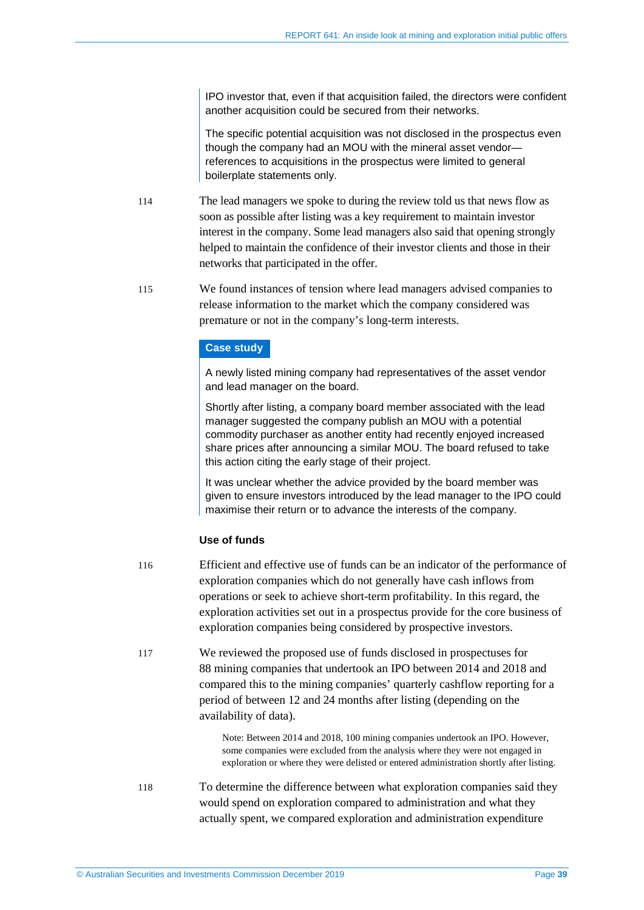IPO investor that, even if that acquisition failed, the directors were confident another acquisition could be secured from their networks.

The specific potential acquisition was not disclosed in the prospectus even though the company had an MOU with the mineral asset vendor references to acquisitions in the prospectus were limited to general boilerplate statements only.

- 114 The lead managers we spoke to during the review told us that news flow as soon as possible after listing was a key requirement to maintain investor interest in the company. Some lead managers also said that opening strongly helped to maintain the confidence of their investor clients and those in their networks that participated in the offer.
- 115 We found instances of tension where lead managers advised companies to release information to the market which the company considered was premature or not in the company's long-term interests.

#### **Case study**

A newly listed mining company had representatives of the asset vendor and lead manager on the board.

Shortly after listing, a company board member associated with the lead manager suggested the company publish an MOU with a potential commodity purchaser as another entity had recently enjoyed increased share prices after announcing a similar MOU. The board refused to take this action citing the early stage of their project.

It was unclear whether the advice provided by the board member was given to ensure investors introduced by the lead manager to the IPO could maximise their return or to advance the interests of the company.

#### **Use of funds**

- 116 Efficient and effective use of funds can be an indicator of the performance of exploration companies which do not generally have cash inflows from operations or seek to achieve short-term profitability. In this regard, the exploration activities set out in a prospectus provide for the core business of exploration companies being considered by prospective investors.
- 117 We reviewed the proposed use of funds disclosed in prospectuses for 88 mining companies that undertook an IPO between 2014 and 2018 and compared this to the mining companies' quarterly cashflow reporting for a period of between 12 and 24 months after listing (depending on the availability of data).

Note: Between 2014 and 2018, 100 mining companies undertook an IPO. However, some companies were excluded from the analysis where they were not engaged in exploration or where they were delisted or entered administration shortly after listing.

118 To determine the difference between what exploration companies said they would spend on exploration compared to administration and what they actually spent, we compared exploration and administration expenditure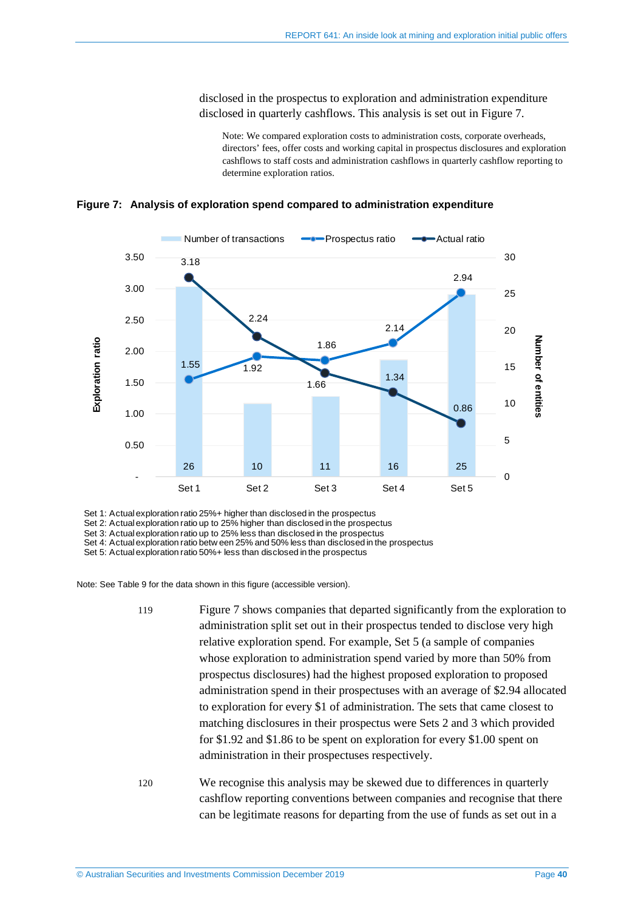disclosed in the prospectus to exploration and administration expenditure disclosed in quarterly cashflows. This analysis is set out in [Figure 7.](#page-39-0)

Note: We compared exploration costs to administration costs, corporate overheads, directors' fees, offer costs and working capital in prospectus disclosures and exploration cashflows to staff costs and administration cashflows in quarterly cashflow reporting to determine exploration ratios.

<span id="page-39-0"></span>**Figure 7: Analysis of exploration spend compared to administration expenditure**



Set 1: Actual exploration ratio 25%+ higher than disclosed in the prospectus

Set 2: Actual exploration ratio up to 25% higher than disclosed in the prospectus

Set 3: Actual exploration ratio up to 25% less than disclosed in the prospectus

Set 4: Actual exploration ratio betw een 25% and 50% less than disclosed in the prospectus

Set 5: Actual exploration ratio 50%+ less than disclosed in the prospectus

Note: Se[e Table 9](#page-46-0) for the data shown in this figure (accessible version).

- 119 [Figure 7](#page-39-0) shows companies that departed significantly from the exploration to administration split set out in their prospectus tended to disclose very high relative exploration spend. For example, Set 5 (a sample of companies whose exploration to administration spend varied by more than 50% from prospectus disclosures) had the highest proposed exploration to proposed administration spend in their prospectuses with an average of \$2.94 allocated to exploration for every \$1 of administration. The sets that came closest to matching disclosures in their prospectus were Sets 2 and 3 which provided for \$1.92 and \$1.86 to be spent on exploration for every \$1.00 spent on administration in their prospectuses respectively.
- 120 We recognise this analysis may be skewed due to differences in quarterly cashflow reporting conventions between companies and recognise that there can be legitimate reasons for departing from the use of funds as set out in a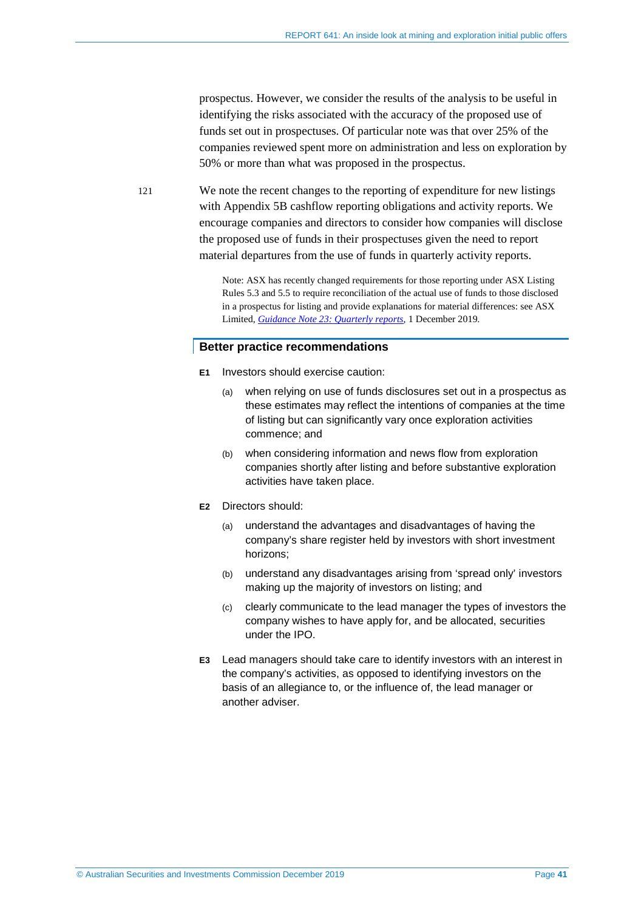prospectus. However, we consider the results of the analysis to be useful in identifying the risks associated with the accuracy of the proposed use of funds set out in prospectuses. Of particular note was that over 25% of the companies reviewed spent more on administration and less on exploration by 50% or more than what was proposed in the prospectus.

121 We note the recent changes to the reporting of expenditure for new listings with Appendix 5B cashflow reporting obligations and activity reports. We encourage companies and directors to consider how companies will disclose the proposed use of funds in their prospectuses given the need to report material departures from the use of funds in quarterly activity reports.

> Note: ASX has recently changed requirements for those reporting under ASX Listing Rules 5.3 and 5.5 to require reconciliation of the actual use of funds to those disclosed in a prospectus for listing and provide explanations for material differences: see ASX Limited, *[Guidance Note 23: Quarterly reports](https://www.asx.com.au/regulation/rules/asx-listing-rules.htm)*, 1 December 2019*.*

#### **Better practice recommendations**

- **E1** Investors should exercise caution:
	- (a) when relying on use of funds disclosures set out in a prospectus as these estimates may reflect the intentions of companies at the time of listing but can significantly vary once exploration activities commence; and
	- (b) when considering information and news flow from exploration companies shortly after listing and before substantive exploration activities have taken place.
- **E2** Directors should:
	- (a) understand the advantages and disadvantages of having the company's share register held by investors with short investment horizons;
	- (b) understand any disadvantages arising from 'spread only' investors making up the majority of investors on listing; and
	- (c) clearly communicate to the lead manager the types of investors the company wishes to have apply for, and be allocated, securities under the IPO.
- **E3** Lead managers should take care to identify investors with an interest in the company's activities, as opposed to identifying investors on the basis of an allegiance to, or the influence of, the lead manager or another adviser.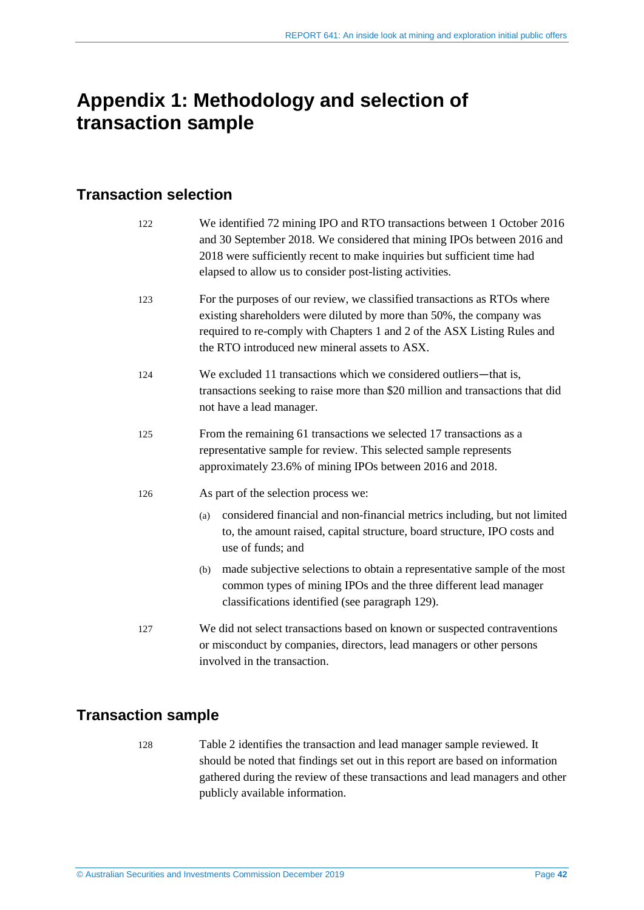## <span id="page-41-0"></span>**Appendix 1: Methodology and selection of transaction sample**

## **Transaction selection**

| 122 | We identified 72 mining IPO and RTO transactions between 1 October 2016<br>and 30 September 2018. We considered that mining IPOs between 2016 and<br>2018 were sufficiently recent to make inquiries but sufficient time had<br>elapsed to allow us to consider post-listing activities. |  |  |  |  |
|-----|------------------------------------------------------------------------------------------------------------------------------------------------------------------------------------------------------------------------------------------------------------------------------------------|--|--|--|--|
| 123 | For the purposes of our review, we classified transactions as RTOs where<br>existing shareholders were diluted by more than 50%, the company was<br>required to re-comply with Chapters 1 and 2 of the ASX Listing Rules and<br>the RTO introduced new mineral assets to ASX.            |  |  |  |  |
| 124 | We excluded 11 transactions which we considered outliers—that is,<br>transactions seeking to raise more than \$20 million and transactions that did<br>not have a lead manager.                                                                                                          |  |  |  |  |
| 125 | From the remaining 61 transactions we selected 17 transactions as a<br>representative sample for review. This selected sample represents<br>approximately 23.6% of mining IPOs between 2016 and 2018.                                                                                    |  |  |  |  |
| 126 | As part of the selection process we:                                                                                                                                                                                                                                                     |  |  |  |  |
|     | considered financial and non-financial metrics including, but not limited<br>(a)<br>to, the amount raised, capital structure, board structure, IPO costs and<br>use of funds; and                                                                                                        |  |  |  |  |
|     | made subjective selections to obtain a representative sample of the most<br>(b)<br>common types of mining IPOs and the three different lead manager<br>classifications identified (see paragraph 129).                                                                                   |  |  |  |  |
| 127 | We did not select transactions based on known or suspected contraventions<br>or misconduct by companies, directors, lead managers or other persons<br>involved in the transaction.                                                                                                       |  |  |  |  |
|     |                                                                                                                                                                                                                                                                                          |  |  |  |  |

## **Transaction sample**

128 [Table 2](#page-42-0) identifies the transaction and lead manager sample reviewed. It should be noted that findings set out in this report are based on information gathered during the review of these transactions and lead managers and other publicly available information.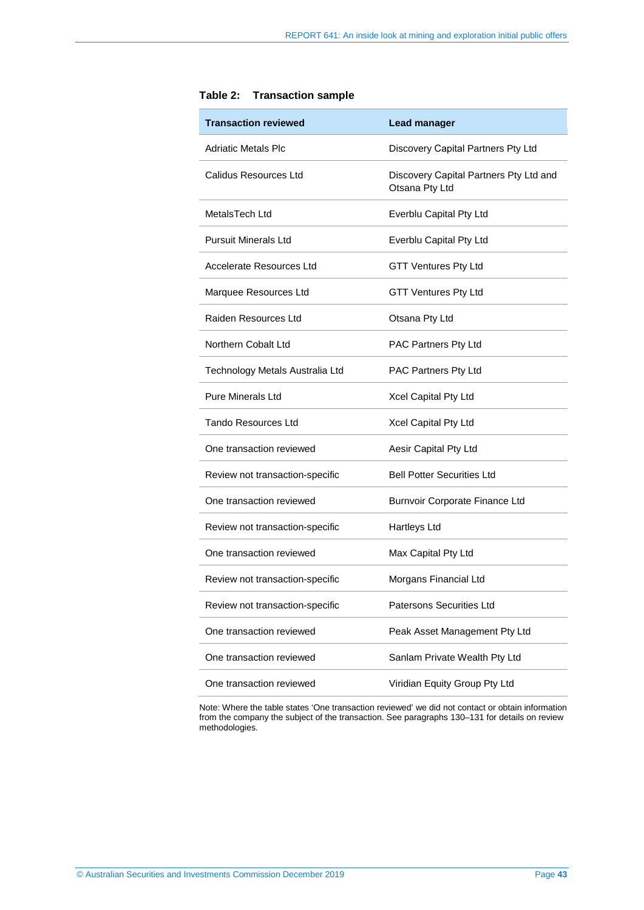| <b>Transaction reviewed</b>     | Lead manager                                             |
|---------------------------------|----------------------------------------------------------|
| Adriatic Metals Plc             | Discovery Capital Partners Pty Ltd                       |
| Calidus Resources Ltd           | Discovery Capital Partners Pty Ltd and<br>Otsana Pty Ltd |
| MetalsTech Ltd                  | Everblu Capital Pty Ltd                                  |
| Pursuit Minerals Ltd            | Everblu Capital Pty Ltd                                  |
| Accelerate Resources Ltd        | <b>GTT Ventures Pty Ltd</b>                              |
| Marquee Resources Ltd           | <b>GTT Ventures Pty Ltd</b>                              |
| Raiden Resources Ltd            | Otsana Pty Ltd                                           |
| Northern Cobalt Ltd             | PAC Partners Pty Ltd                                     |
| Technology Metals Australia Ltd | PAC Partners Pty Ltd                                     |
| <b>Pure Minerals Ltd</b>        | Xcel Capital Pty Ltd                                     |
| Tando Resources Ltd             | Xcel Capital Pty Ltd                                     |
| One transaction reviewed        | Aesir Capital Pty Ltd                                    |
| Review not transaction-specific | <b>Bell Potter Securities Ltd</b>                        |
| One transaction reviewed        | Burnvoir Corporate Finance Ltd                           |
| Review not transaction-specific | Hartleys Ltd                                             |
| One transaction reviewed        | Max Capital Pty Ltd                                      |
| Review not transaction-specific | Morgans Financial Ltd                                    |
| Review not transaction-specific | Patersons Securities Ltd                                 |
| One transaction reviewed        | Peak Asset Management Pty Ltd                            |
| One transaction reviewed        | Sanlam Private Wealth Pty Ltd                            |
| One transaction reviewed        | Viridian Equity Group Pty Ltd                            |

<span id="page-42-0"></span>

| Table 2: | <b>Transaction sample</b> |  |
|----------|---------------------------|--|
|----------|---------------------------|--|

Note: Where the table states 'One transaction reviewed' we did not contact or obtain information from the company the subject of the transaction. See paragraph[s 130](#page-43-1)[–131](#page-43-2) for details on review methodologies.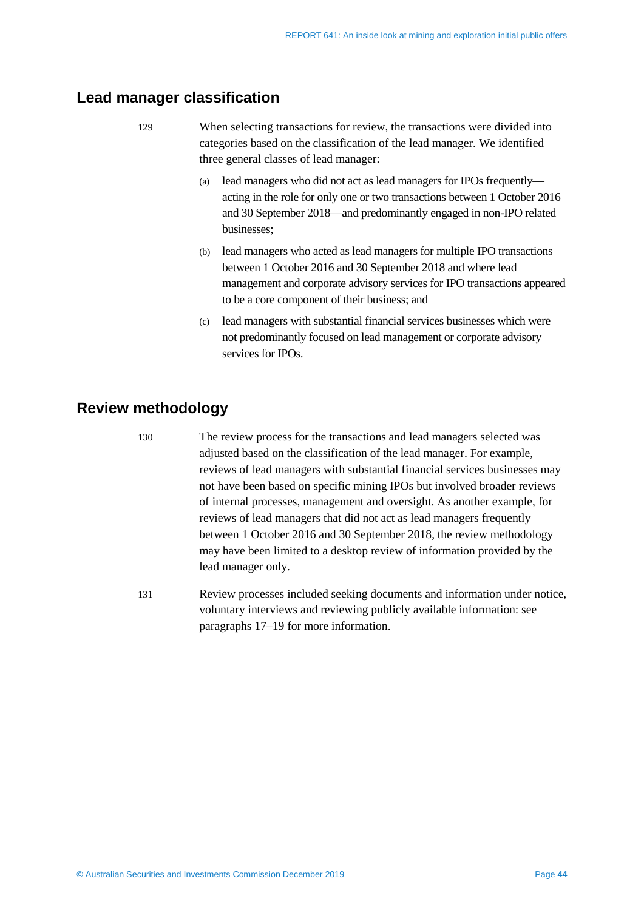### <span id="page-43-0"></span>**Lead manager classification**

- 129 When selecting transactions for review, the transactions were divided into categories based on the classification of the lead manager. We identified three general classes of lead manager:
	- (a) lead managers who did not act as lead managers for IPOs frequently acting in the role for only one or two transactions between 1 October 2016 and 30 September 2018—and predominantly engaged in non-IPO related businesses;
	- (b) lead managers who acted as lead managers for multiple IPO transactions between 1 October 2016 and 30 September 2018 and where lead management and corporate advisory services for IPO transactions appeared to be a core component of their business; and
	- (c) lead managers with substantial financial services businesses which were not predominantly focused on lead management or corporate advisory services for **IPOs**.

## <span id="page-43-1"></span>**Review methodology**

130 The review process for the transactions and lead managers selected was adjusted based on the classification of the lead manager. For example, reviews of lead managers with substantial financial services businesses may not have been based on specific mining IPOs but involved broader reviews of internal processes, management and oversight. As another example, for reviews of lead managers that did not act as lead managers frequently between 1 October 2016 and 30 September 2018, the review methodology may have been limited to a desktop review of information provided by the lead manager only.

<span id="page-43-2"></span>131 Review processes included seeking documents and information under notice, voluntary interviews and reviewing publicly available information: see paragraphs [17–](#page-8-0)[19](#page-8-1) for more information.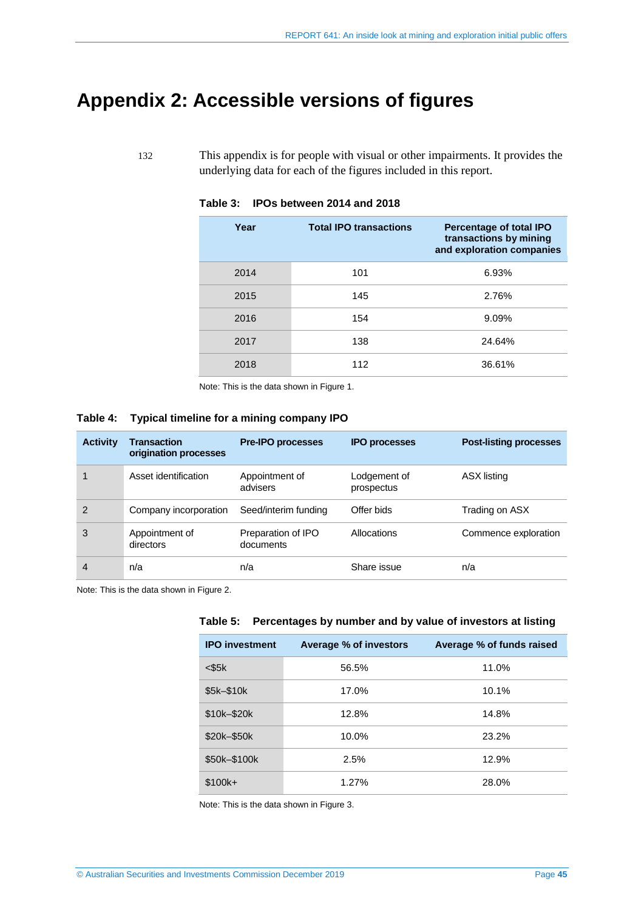## <span id="page-44-0"></span>**Appendix 2: Accessible versions of figures**

<span id="page-44-1"></span>132 This appendix is for people with visual or other impairments. It provides the underlying data for each of the figures included in this report.

| Year | <b>Total IPO transactions</b> | <b>Percentage of total IPO</b><br>transactions by mining<br>and exploration companies |
|------|-------------------------------|---------------------------------------------------------------------------------------|
| 2014 | 101                           | 6.93%                                                                                 |
| 2015 | 145                           | 2.76%                                                                                 |
| 2016 | 154                           | 9.09%                                                                                 |
| 2017 | 138                           | 24.64%                                                                                |
| 2018 | 112                           | 36.61%                                                                                |

#### **Table 3: IPOs between 2014 and 2018**

Note: This is the data shown in [Figure 1.](#page-6-2) 

#### <span id="page-44-2"></span>**Table 4: Typical timeline for a mining company IPO**

| <b>Activity</b> | <b>Transaction</b><br>origination processes | <b>Pre-IPO processes</b>        | <b>IPO processes</b>       | <b>Post-listing processes</b> |
|-----------------|---------------------------------------------|---------------------------------|----------------------------|-------------------------------|
|                 | Asset identification                        | Appointment of<br>advisers      | Lodgement of<br>prospectus | ASX listing                   |
| 2               | Company incorporation                       | Seed/interim funding            | Offer bids                 | Trading on ASX                |
| 3               | Appointment of<br>directors                 | Preparation of IPO<br>documents | Allocations                | Commence exploration          |
| 4               | n/a                                         | n/a                             | Share issue                | n/a                           |

<span id="page-44-3"></span>Note: This is the data shown i[n Figure 2.](#page-7-1)

|  |  |  |  | Table 5: Percentages by number and by value of investors at listing |  |
|--|--|--|--|---------------------------------------------------------------------|--|
|--|--|--|--|---------------------------------------------------------------------|--|

| <b>IPO investment</b> | <b>Average % of investors</b> | Average % of funds raised |
|-----------------------|-------------------------------|---------------------------|
| $<$ \$5 $k$           | 56.5%                         | 11.0%                     |
| \$5k-\$10k            | 17.0%                         | 10.1%                     |
| \$10k-\$20k           | 12.8%                         | 14.8%                     |
| \$20k-\$50k           | 10.0%                         | 23.2%                     |
| \$50k-\$100k          | 2.5%                          | 12.9%                     |
| $$100k+$              | 1.27%                         | 28.0%                     |

Note: This is the data shown in [Figure 3.](#page-31-1)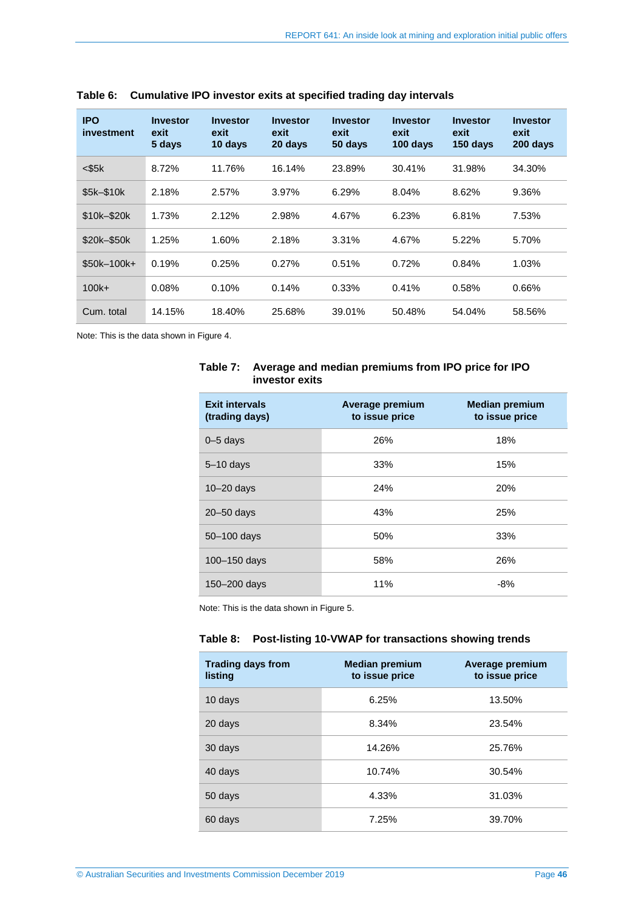| <b>IPO</b><br>investment | <b>Investor</b><br>exit<br>5 days | <b>Investor</b><br>exit<br>10 days | <b>Investor</b><br>exit<br>20 days | <b>Investor</b><br>exit<br>50 days | <b>Investor</b><br>exit<br>100 days | <b>Investor</b><br>exit<br>150 days | <b>Investor</b><br>exit<br>200 days |
|--------------------------|-----------------------------------|------------------------------------|------------------------------------|------------------------------------|-------------------------------------|-------------------------------------|-------------------------------------|
| $<$ \$5 $k$              | 8.72%                             | 11.76%                             | 16.14%                             | 23.89%                             | 30.41%                              | 31.98%                              | 34.30%                              |
| \$5k-\$10k               | 2.18%                             | 2.57%                              | 3.97%                              | 6.29%                              | 8.04%                               | 8.62%                               | 9.36%                               |
| \$10k-\$20k              | 1.73%                             | 2.12%                              | 2.98%                              | 4.67%                              | 6.23%                               | 6.81%                               | 7.53%                               |
| \$20k-\$50k              | 1.25%                             | 1.60%                              | 2.18%                              | 3.31%                              | 4.67%                               | 5.22%                               | 5.70%                               |
| $$50k-100k+$             | 0.19%                             | 0.25%                              | 0.27%                              | 0.51%                              | 0.72%                               | 0.84%                               | 1.03%                               |
| $100k +$                 | 0.08%                             | 0.10%                              | 0.14%                              | 0.33%                              | 0.41%                               | 0.58%                               | 0.66%                               |
| Cum. total               | 14.15%                            | 18.40%                             | 25.68%                             | 39.01%                             | 50.48%                              | 54.04%                              | 58.56%                              |

<span id="page-45-0"></span>**Table 6: Cumulative IPO investor exits at specified trading day intervals**

<span id="page-45-1"></span>Note: This is the data shown i[n Figure 4.](#page-35-0)

#### **Table 7: Average and median premiums from IPO price for IPO investor exits**

| <b>Exit intervals</b><br>(trading days) | Average premium<br>to issue price | <b>Median premium</b><br>to issue price |
|-----------------------------------------|-----------------------------------|-----------------------------------------|
| $0 - 5$ days                            | 26%                               | 18%                                     |
| $5 - 10$ days                           | 33%                               | 15%                                     |
| $10 - 20$ days                          | 24%                               | 20%                                     |
| $20 - 50$ days                          | 43%                               | 25%                                     |
| $50 - 100$ days                         | 50%                               | 33%                                     |
| 100-150 days                            | 58%                               | 26%                                     |
| 150-200 days                            | 11%                               | $-8%$                                   |

<span id="page-45-2"></span>Note: This is the data shown in [Figure 5.](#page-36-0) 

#### **Table 8: Post-listing 10-VWAP for transactions showing trends**

| <b>Trading days from</b><br>listina | <b>Median premium</b><br>to issue price | Average premium<br>to issue price |
|-------------------------------------|-----------------------------------------|-----------------------------------|
| 10 days                             | 6.25%                                   | 13.50%                            |
| 20 days                             | 8.34%                                   | 23.54%                            |
| 30 days                             | 14.26%                                  | 25.76%                            |
| 40 days                             | 10.74%                                  | 30.54%                            |
| 50 days                             | 4.33%                                   | 31.03%                            |
| 60 days                             | 7.25%                                   | 39.70%                            |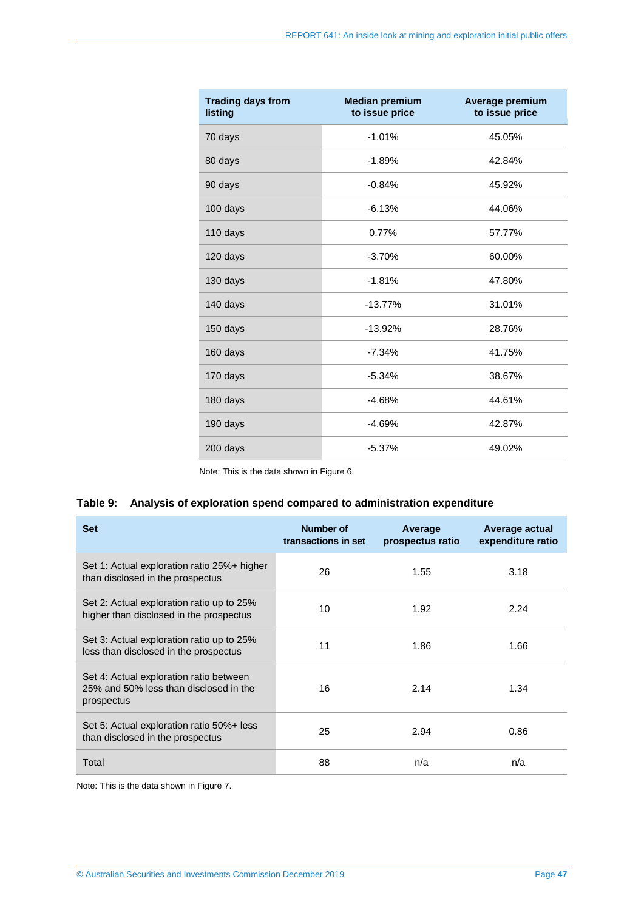| <b>Trading days from</b><br>listing | <b>Median premium</b><br>to issue price | Average premium<br>to issue price |
|-------------------------------------|-----------------------------------------|-----------------------------------|
| 70 days                             | $-1.01%$                                | 45.05%                            |
| 80 days                             | $-1.89%$                                | 42.84%                            |
| 90 days                             | $-0.84%$                                | 45.92%                            |
| 100 days                            | $-6.13%$                                | 44.06%                            |
| 110 days                            | 0.77%                                   | 57.77%                            |
| 120 days                            | $-3.70%$                                | 60.00%                            |
| 130 days                            | $-1.81%$                                | 47.80%                            |
| 140 days                            | $-13.77%$                               | 31.01%                            |
| 150 days                            | $-13.92%$                               | 28.76%                            |
| 160 days                            | $-7.34%$                                | 41.75%                            |
| 170 days                            | $-5.34%$                                | 38.67%                            |
| 180 days                            | $-4.68%$                                | 44.61%                            |
| 190 days                            | $-4.69%$                                | 42.87%                            |
| 200 days                            | $-5.37%$                                | 49.02%                            |

Note: This is the data shown in [Figure 6.](#page-37-0) 

#### <span id="page-46-0"></span>**Table 9: Analysis of exploration spend compared to administration expenditure**

| <b>Set</b>                                                                                      | Number of<br>transactions in set | Average<br>prospectus ratio | Average actual<br>expenditure ratio |
|-------------------------------------------------------------------------------------------------|----------------------------------|-----------------------------|-------------------------------------|
| Set 1: Actual exploration ratio 25%+ higher<br>than disclosed in the prospectus                 | 26                               | 1.55                        | 3.18                                |
| Set 2: Actual exploration ratio up to 25%<br>higher than disclosed in the prospectus            | 10                               | 1.92                        | 2.24                                |
| Set 3: Actual exploration ratio up to 25%<br>less than disclosed in the prospectus              | 11                               | 1.86                        | 1.66                                |
| Set 4: Actual exploration ratio between<br>25% and 50% less than disclosed in the<br>prospectus | 16                               | 2.14                        | 1.34                                |
| Set 5: Actual exploration ratio 50%+ less<br>than disclosed in the prospectus                   | 25                               | 2.94                        | 0.86                                |
| Total                                                                                           | 88                               | n/a                         | n/a                                 |

Note: This is the data shown i[n Figure 7.](#page-39-0)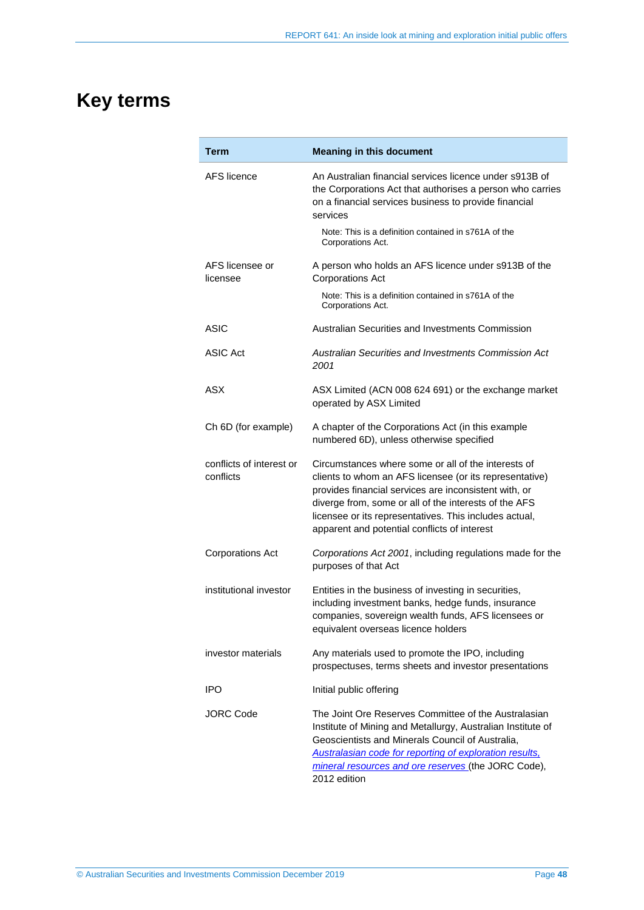## <span id="page-47-0"></span>**Key terms**

| Term                                  | <b>Meaning in this document</b>                                                                                                                                                                                                                                                                                                            |
|---------------------------------------|--------------------------------------------------------------------------------------------------------------------------------------------------------------------------------------------------------------------------------------------------------------------------------------------------------------------------------------------|
| AFS licence                           | An Australian financial services licence under s913B of<br>the Corporations Act that authorises a person who carries<br>on a financial services business to provide financial<br>services                                                                                                                                                  |
|                                       | Note: This is a definition contained in s761A of the<br>Corporations Act.                                                                                                                                                                                                                                                                  |
| AFS licensee or<br>licensee           | A person who holds an AFS licence under s913B of the<br><b>Corporations Act</b>                                                                                                                                                                                                                                                            |
|                                       | Note: This is a definition contained in s761A of the<br>Corporations Act.                                                                                                                                                                                                                                                                  |
| ASIC                                  | Australian Securities and Investments Commission                                                                                                                                                                                                                                                                                           |
| ASIC Act                              | Australian Securities and Investments Commission Act<br>2001                                                                                                                                                                                                                                                                               |
| <b>ASX</b>                            | ASX Limited (ACN 008 624 691) or the exchange market<br>operated by ASX Limited                                                                                                                                                                                                                                                            |
| Ch 6D (for example)                   | A chapter of the Corporations Act (in this example<br>numbered 6D), unless otherwise specified                                                                                                                                                                                                                                             |
| conflicts of interest or<br>conflicts | Circumstances where some or all of the interests of<br>clients to whom an AFS licensee (or its representative)<br>provides financial services are inconsistent with, or<br>diverge from, some or all of the interests of the AFS<br>licensee or its representatives. This includes actual,<br>apparent and potential conflicts of interest |
| <b>Corporations Act</b>               | Corporations Act 2001, including regulations made for the<br>purposes of that Act                                                                                                                                                                                                                                                          |
| institutional investor                | Entities in the business of investing in securities,<br>including investment banks, hedge funds, insurance<br>companies, sovereign wealth funds, AFS licensees or<br>equivalent overseas licence holders                                                                                                                                   |
| investor materials                    | Any materials used to promote the IPO, including<br>prospectuses, terms sheets and investor presentations                                                                                                                                                                                                                                  |
| <b>IPO</b>                            | Initial public offering                                                                                                                                                                                                                                                                                                                    |
| JORC Code                             | The Joint Ore Reserves Committee of the Australasian<br>Institute of Mining and Metallurgy, Australian Institute of<br>Geoscientists and Minerals Council of Australia,<br>Australasian code for reporting of exploration results,<br>mineral resources and ore reserves (the JORC Code),<br>2012 edition                                  |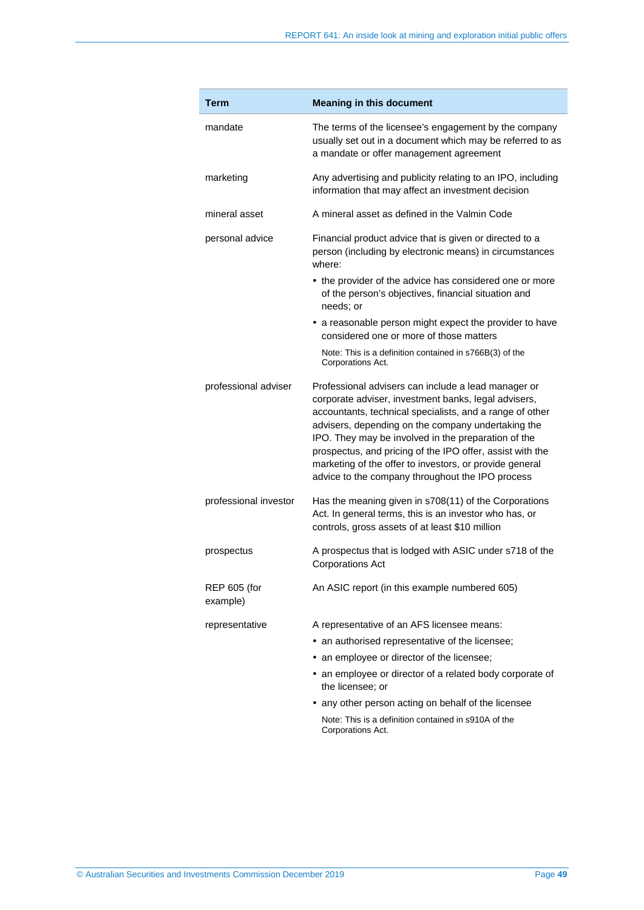| Term                            | <b>Meaning in this document</b>                                                                                                                                                                                                                                                                                                                                                                                                                                  |
|---------------------------------|------------------------------------------------------------------------------------------------------------------------------------------------------------------------------------------------------------------------------------------------------------------------------------------------------------------------------------------------------------------------------------------------------------------------------------------------------------------|
| mandate                         | The terms of the licensee's engagement by the company<br>usually set out in a document which may be referred to as<br>a mandate or offer management agreement                                                                                                                                                                                                                                                                                                    |
| marketing                       | Any advertising and publicity relating to an IPO, including<br>information that may affect an investment decision                                                                                                                                                                                                                                                                                                                                                |
| mineral asset                   | A mineral asset as defined in the Valmin Code                                                                                                                                                                                                                                                                                                                                                                                                                    |
| personal advice                 | Financial product advice that is given or directed to a<br>person (including by electronic means) in circumstances<br>where:                                                                                                                                                                                                                                                                                                                                     |
|                                 | • the provider of the advice has considered one or more<br>of the person's objectives, financial situation and<br>needs; or                                                                                                                                                                                                                                                                                                                                      |
|                                 | • a reasonable person might expect the provider to have<br>considered one or more of those matters                                                                                                                                                                                                                                                                                                                                                               |
|                                 | Note: This is a definition contained in s766B(3) of the<br>Corporations Act.                                                                                                                                                                                                                                                                                                                                                                                     |
| professional adviser            | Professional advisers can include a lead manager or<br>corporate adviser, investment banks, legal advisers,<br>accountants, technical specialists, and a range of other<br>advisers, depending on the company undertaking the<br>IPO. They may be involved in the preparation of the<br>prospectus, and pricing of the IPO offer, assist with the<br>marketing of the offer to investors, or provide general<br>advice to the company throughout the IPO process |
| professional investor           | Has the meaning given in s708(11) of the Corporations<br>Act. In general terms, this is an investor who has, or<br>controls, gross assets of at least \$10 million                                                                                                                                                                                                                                                                                               |
| prospectus                      | A prospectus that is lodged with ASIC under s718 of the<br><b>Corporations Act</b>                                                                                                                                                                                                                                                                                                                                                                               |
| <b>REP 605 (for</b><br>example) | An ASIC report (in this example numbered 605)                                                                                                                                                                                                                                                                                                                                                                                                                    |
| representative                  | A representative of an AFS licensee means:                                                                                                                                                                                                                                                                                                                                                                                                                       |
|                                 | • an authorised representative of the licensee;                                                                                                                                                                                                                                                                                                                                                                                                                  |
|                                 | • an employee or director of the licensee;                                                                                                                                                                                                                                                                                                                                                                                                                       |
|                                 | • an employee or director of a related body corporate of<br>the licensee; or                                                                                                                                                                                                                                                                                                                                                                                     |
|                                 | • any other person acting on behalf of the licensee                                                                                                                                                                                                                                                                                                                                                                                                              |
|                                 | Note: This is a definition contained in s910A of the<br>Corporations Act.                                                                                                                                                                                                                                                                                                                                                                                        |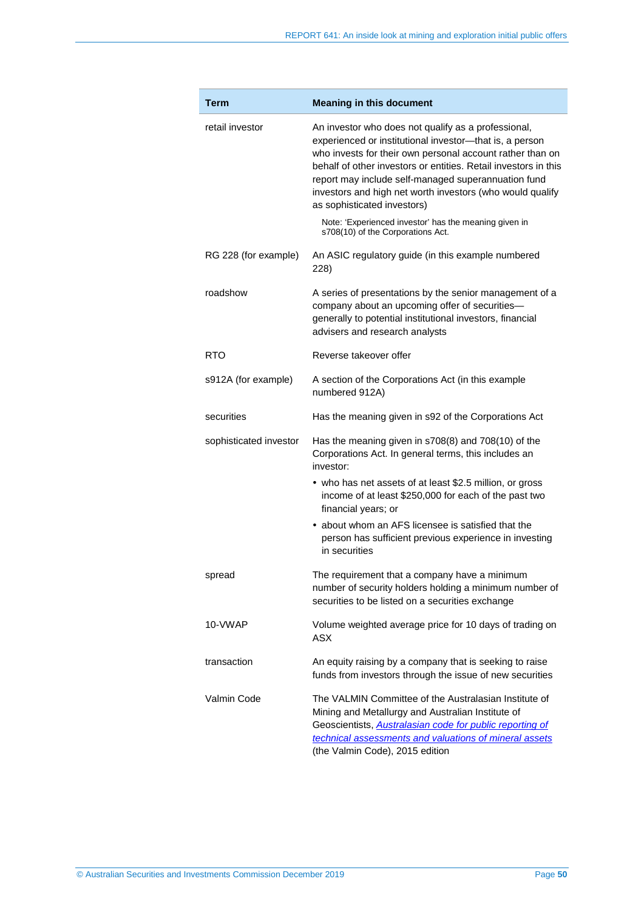| Term                   | <b>Meaning in this document</b>                                                                                                                                                                                                                                                                                                                                                                   |
|------------------------|---------------------------------------------------------------------------------------------------------------------------------------------------------------------------------------------------------------------------------------------------------------------------------------------------------------------------------------------------------------------------------------------------|
| retail investor        | An investor who does not qualify as a professional,<br>experienced or institutional investor-that is, a person<br>who invests for their own personal account rather than on<br>behalf of other investors or entities. Retail investors in this<br>report may include self-managed superannuation fund<br>investors and high net worth investors (who would qualify<br>as sophisticated investors) |
|                        | Note: 'Experienced investor' has the meaning given in<br>s708(10) of the Corporations Act.                                                                                                                                                                                                                                                                                                        |
| RG 228 (for example)   | An ASIC regulatory guide (in this example numbered<br>228)                                                                                                                                                                                                                                                                                                                                        |
| roadshow               | A series of presentations by the senior management of a<br>company about an upcoming offer of securities-<br>generally to potential institutional investors, financial<br>advisers and research analysts                                                                                                                                                                                          |
| RTO                    | Reverse takeover offer                                                                                                                                                                                                                                                                                                                                                                            |
| s912A (for example)    | A section of the Corporations Act (in this example<br>numbered 912A)                                                                                                                                                                                                                                                                                                                              |
| securities             | Has the meaning given in s92 of the Corporations Act                                                                                                                                                                                                                                                                                                                                              |
| sophisticated investor | Has the meaning given in s708(8) and 708(10) of the<br>Corporations Act. In general terms, this includes an<br>investor:                                                                                                                                                                                                                                                                          |
|                        | • who has net assets of at least \$2.5 million, or gross<br>income of at least \$250,000 for each of the past two<br>financial years; or                                                                                                                                                                                                                                                          |
|                        | • about whom an AFS licensee is satisfied that the<br>person has sufficient previous experience in investing<br>in securities                                                                                                                                                                                                                                                                     |
| spread                 | The requirement that a company have a minimum<br>number of security holders holding a minimum number of<br>securities to be listed on a securities exchange                                                                                                                                                                                                                                       |
| 10-VWAP                | Volume weighted average price for 10 days of trading on<br><b>ASX</b>                                                                                                                                                                                                                                                                                                                             |
| transaction            | An equity raising by a company that is seeking to raise<br>funds from investors through the issue of new securities                                                                                                                                                                                                                                                                               |
| Valmin Code            | The VALMIN Committee of the Australasian Institute of<br>Mining and Metallurgy and Australian Institute of<br>Geoscientists, <b>Australasian code for public reporting of</b><br>technical assessments and valuations of mineral assets<br>(the Valmin Code), 2015 edition                                                                                                                        |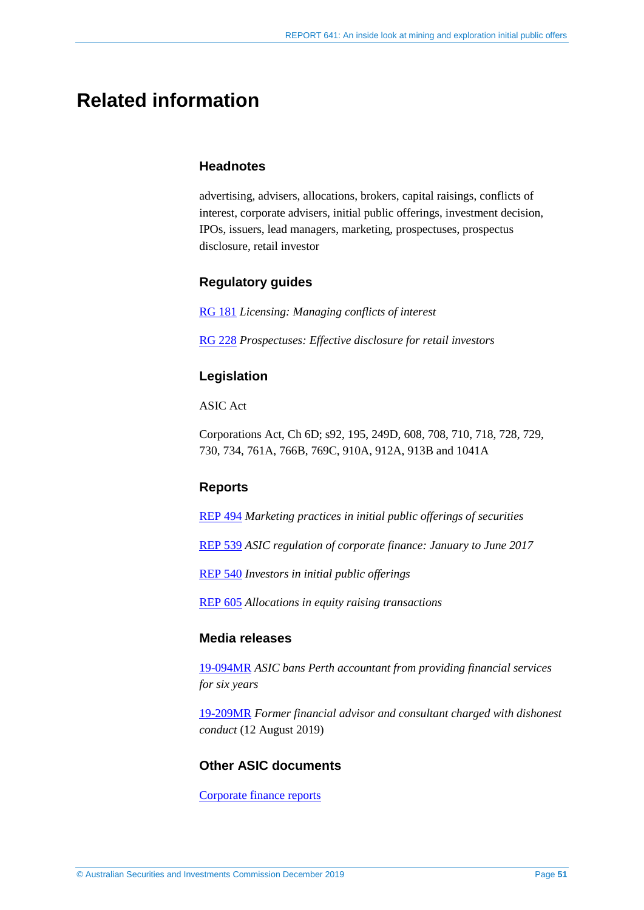## <span id="page-50-0"></span>**Related information**

#### **Headnotes**

advertising, advisers, allocations, brokers, capital raisings, conflicts of interest, corporate advisers, initial public offerings, investment decision, IPOs, issuers, lead managers, marketing, prospectuses, prospectus disclosure, retail investor

#### **Regulatory guides**

[RG 181](https://asic.gov.au/regulatory-resources/find-a-document/regulatory-guides/rg-181-licensing-managing-conflicts-of-interest/) *Licensing: Managing conflicts of interest*

[RG 228](https://asic.gov.au/regulatory-resources/find-a-document/regulatory-guides/rg-228-prospectuses-effective-disclosure-for-retail-investors/) *Prospectuses: Effective disclosure for retail investors*

#### **Legislation**

ASIC Act

Corporations Act, Ch 6D; s92, 195, 249D, 608, 708, 710, 718, 728, 729, 730, 734, 761A, 766B, 769C, 910A, 912A, 913B and 1041A

#### **Reports**

[REP 494](https://asic.gov.au/regulatory-resources/find-a-document/reports/rep-494-marketing-practices-in-initial-public-offerings-of-securities/) *Marketing practices in initial public offerings of securities*

[REP 539](https://asic.gov.au/regulatory-resources/find-a-document/reports/rep-539-asic-regulation-of-corporate-finance-january-to-june-2017/) *ASIC regulation of corporate finance: January to June 2017*

[REP 540](https://asic.gov.au/regulatory-resources/find-a-document/reports/rep-540-investors-in-initial-public-offerings/) *Investors in initial public offerings*

[REP 605](https://asic.gov.au/regulatory-resources/find-a-document/reports/rep-605-allocations-in-equity-raising-transactions/) *Allocations in equity raising transactions*

#### **Media releases**

[19-094MR](https://asic.gov.au/about-asic/news-centre/find-a-media-release/2019-releases/19-094mr-asic-bans-perth-accountant-from-providing-financial-services-for-six-years/) *ASIC bans Perth accountant from providing financial services for six years*

[19-209MR](https://asic.gov.au/about-asic/news-centre/find-a-media-release/2019-releases/19-209mr-former-financial-advisor-and-consultant-charged-with-dishonest-conduct/) *Former financial advisor and consultant charged with dishonest conduct* (12 August 2019)

#### **Other ASIC documents**

[Corporate finance reports](https://asic.gov.au/about-asic/what-we-do/how-we-operate/stakeholder-liaison/corporate-finance-liaison-meetings/)